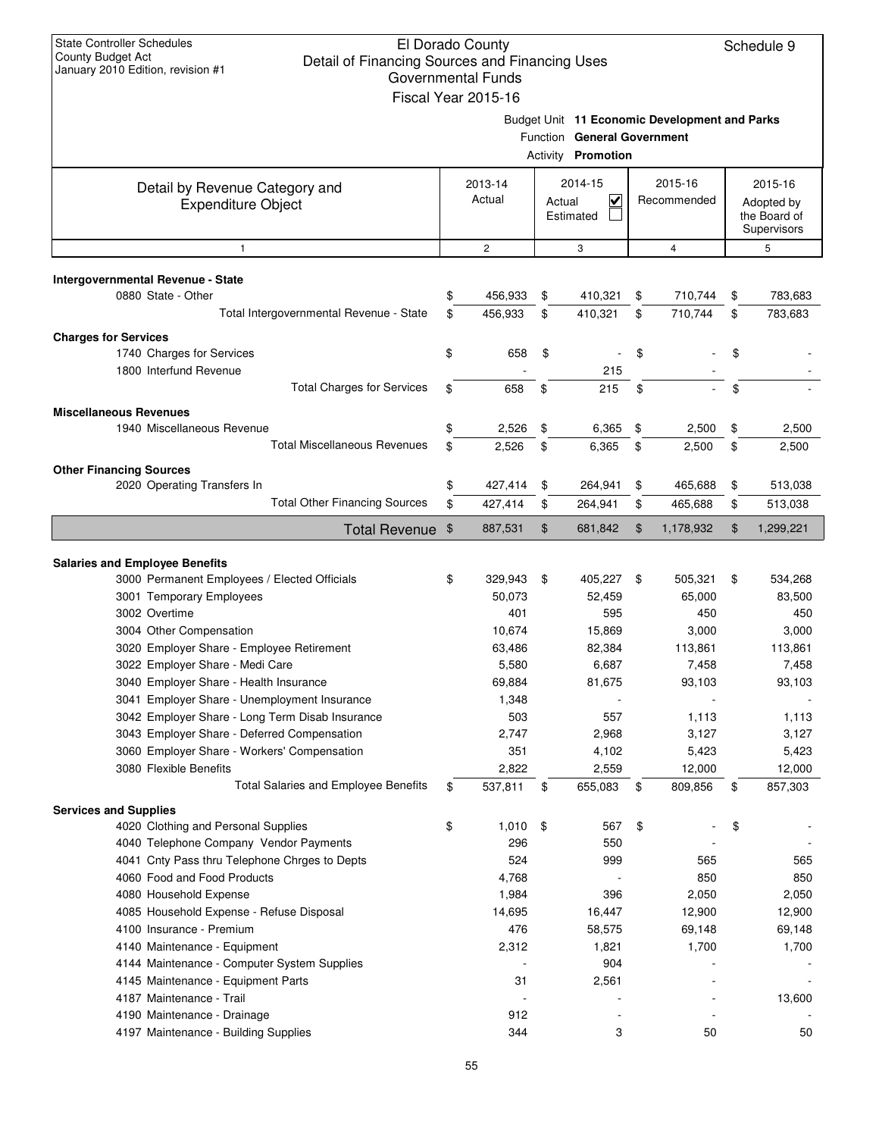| <b>State Controller Schedules</b><br>El Dorado County<br>Schedule 9<br>County Budget Act<br>Detail of Financing Sources and Financing Uses<br>January 2010 Edition, revision #1<br>Governmental Funds<br>Fiscal Year 2015-16 |    |                   |        |                                                          |    |                                               |                |                                                      |
|------------------------------------------------------------------------------------------------------------------------------------------------------------------------------------------------------------------------------|----|-------------------|--------|----------------------------------------------------------|----|-----------------------------------------------|----------------|------------------------------------------------------|
|                                                                                                                                                                                                                              |    |                   |        | Function General Government<br>Activity <b>Promotion</b> |    | Budget Unit 11 Economic Development and Parks |                |                                                      |
| Detail by Revenue Category and<br><b>Expenditure Object</b>                                                                                                                                                                  |    | 2013-14<br>Actual | Actual | 2014-15<br>$\overline{\mathsf{v}}$<br>Estimated          |    | 2015-16<br>Recommended                        |                | 2015-16<br>Adopted by<br>the Board of<br>Supervisors |
| 1                                                                                                                                                                                                                            |    | $\overline{c}$    |        | 3                                                        |    | $\overline{4}$                                |                | 5                                                    |
| Intergovernmental Revenue - State<br>0880 State - Other                                                                                                                                                                      | \$ | 456,933           | \$     | 410,321                                                  | \$ | 710,744                                       | \$             | 783,683                                              |
| Total Intergovernmental Revenue - State                                                                                                                                                                                      | \$ | 456,933           | \$     | 410,321                                                  | \$ | 710,744                                       | \$             | 783,683                                              |
| <b>Charges for Services</b>                                                                                                                                                                                                  |    |                   |        |                                                          |    |                                               |                |                                                      |
| 1740 Charges for Services                                                                                                                                                                                                    | \$ | 658               | \$     |                                                          | \$ |                                               | \$             |                                                      |
| 1800 Interfund Revenue                                                                                                                                                                                                       |    |                   |        | 215                                                      |    |                                               |                |                                                      |
| <b>Total Charges for Services</b>                                                                                                                                                                                            | \$ | 658               | \$     | 215                                                      | \$ |                                               | \$             |                                                      |
| <b>Miscellaneous Revenues</b>                                                                                                                                                                                                |    |                   |        |                                                          |    |                                               |                |                                                      |
| 1940 Miscellaneous Revenue                                                                                                                                                                                                   | \$ | 2,526             | \$     | 6,365                                                    | \$ | 2,500                                         | \$             | 2,500                                                |
| <b>Total Miscellaneous Revenues</b>                                                                                                                                                                                          | \$ | 2,526             | \$     | 6,365                                                    | \$ | 2,500                                         | \$             | 2,500                                                |
| <b>Other Financing Sources</b>                                                                                                                                                                                               |    |                   |        |                                                          |    |                                               |                |                                                      |
| 2020 Operating Transfers In                                                                                                                                                                                                  | \$ | 427,414           | \$     | 264,941                                                  | \$ | 465,688                                       | \$             | 513,038                                              |
| <b>Total Other Financing Sources</b>                                                                                                                                                                                         | \$ | 427,414           | \$     | 264,941                                                  | \$ | 465,688                                       | \$             | 513,038                                              |
| <b>Total Revenue</b>                                                                                                                                                                                                         | \$ | 887,531           | \$     | 681,842                                                  | \$ | 1,178,932                                     | $\mathfrak{F}$ | 1,299,221                                            |
|                                                                                                                                                                                                                              |    |                   |        |                                                          |    |                                               |                |                                                      |
| <b>Salaries and Employee Benefits</b>                                                                                                                                                                                        |    |                   |        |                                                          |    |                                               |                |                                                      |
| 3000 Permanent Employees / Elected Officials                                                                                                                                                                                 | \$ | 329,943           | \$     | 405,227 \$                                               |    | 505,321                                       | \$             | 534,268                                              |
| 3001 Temporary Employees                                                                                                                                                                                                     |    | 50,073            |        | 52,459                                                   |    | 65,000                                        |                | 83,500                                               |
| 3002 Overtime                                                                                                                                                                                                                |    | 401               |        | 595                                                      |    | 450                                           |                | 450                                                  |
| 3004 Other Compensation<br>3020 Employer Share - Employee Retirement                                                                                                                                                         |    | 10,674            |        | 15,869                                                   |    | 3,000                                         |                | 3,000                                                |
| 3022 Employer Share - Medi Care                                                                                                                                                                                              |    | 63,486<br>5,580   |        | 82,384<br>6,687                                          |    | 113,861<br>7,458                              |                | 113,861<br>7,458                                     |
| 3040 Employer Share - Health Insurance                                                                                                                                                                                       |    | 69,884            |        | 81,675                                                   |    | 93,103                                        |                | 93,103                                               |
| 3041 Employer Share - Unemployment Insurance                                                                                                                                                                                 |    | 1,348             |        |                                                          |    |                                               |                |                                                      |
| 3042 Employer Share - Long Term Disab Insurance                                                                                                                                                                              |    | 503               |        | 557                                                      |    | 1,113                                         |                | 1,113                                                |
| 3043 Employer Share - Deferred Compensation                                                                                                                                                                                  |    | 2,747             |        | 2,968                                                    |    | 3,127                                         |                | 3,127                                                |
| 3060 Employer Share - Workers' Compensation                                                                                                                                                                                  |    | 351               |        | 4,102                                                    |    | 5,423                                         |                | 5,423                                                |
| 3080 Flexible Benefits                                                                                                                                                                                                       |    | 2,822             |        | 2,559                                                    |    | 12,000                                        |                | 12,000                                               |
| <b>Total Salaries and Employee Benefits</b>                                                                                                                                                                                  | \$ | 537,811           | \$     | 655,083                                                  | \$ | 809,856                                       | \$             | 857,303                                              |
| <b>Services and Supplies</b>                                                                                                                                                                                                 |    |                   |        |                                                          |    |                                               |                |                                                      |
| 4020 Clothing and Personal Supplies                                                                                                                                                                                          | \$ | 1,010             | \$     | 567                                                      | \$ |                                               | \$             |                                                      |
| 4040 Telephone Company Vendor Payments                                                                                                                                                                                       |    | 296               |        | 550                                                      |    |                                               |                |                                                      |
| 4041 Cnty Pass thru Telephone Chrges to Depts                                                                                                                                                                                |    | 524               |        | 999                                                      |    | 565                                           |                | 565                                                  |
| 4060 Food and Food Products                                                                                                                                                                                                  |    | 4,768             |        |                                                          |    | 850                                           |                | 850                                                  |
| 4080 Household Expense                                                                                                                                                                                                       |    | 1,984             |        | 396                                                      |    | 2,050                                         |                | 2,050                                                |
| 4085 Household Expense - Refuse Disposal<br>4100 Insurance - Premium                                                                                                                                                         |    | 14,695<br>476     |        | 16,447<br>58,575                                         |    | 12,900<br>69,148                              |                | 12,900<br>69,148                                     |
| 4140 Maintenance - Equipment                                                                                                                                                                                                 |    | 2,312             |        | 1,821                                                    |    | 1,700                                         |                | 1,700                                                |
| 4144 Maintenance - Computer System Supplies                                                                                                                                                                                  |    |                   |        | 904                                                      |    |                                               |                |                                                      |
| 4145 Maintenance - Equipment Parts                                                                                                                                                                                           |    | 31                |        | 2,561                                                    |    |                                               |                |                                                      |
| 4187 Maintenance - Trail                                                                                                                                                                                                     |    |                   |        |                                                          |    |                                               |                | 13,600                                               |
| 4190 Maintenance - Drainage                                                                                                                                                                                                  |    | 912               |        |                                                          |    |                                               |                |                                                      |
| 4197 Maintenance - Building Supplies                                                                                                                                                                                         |    | 344               |        | 3                                                        |    | 50                                            |                | 50                                                   |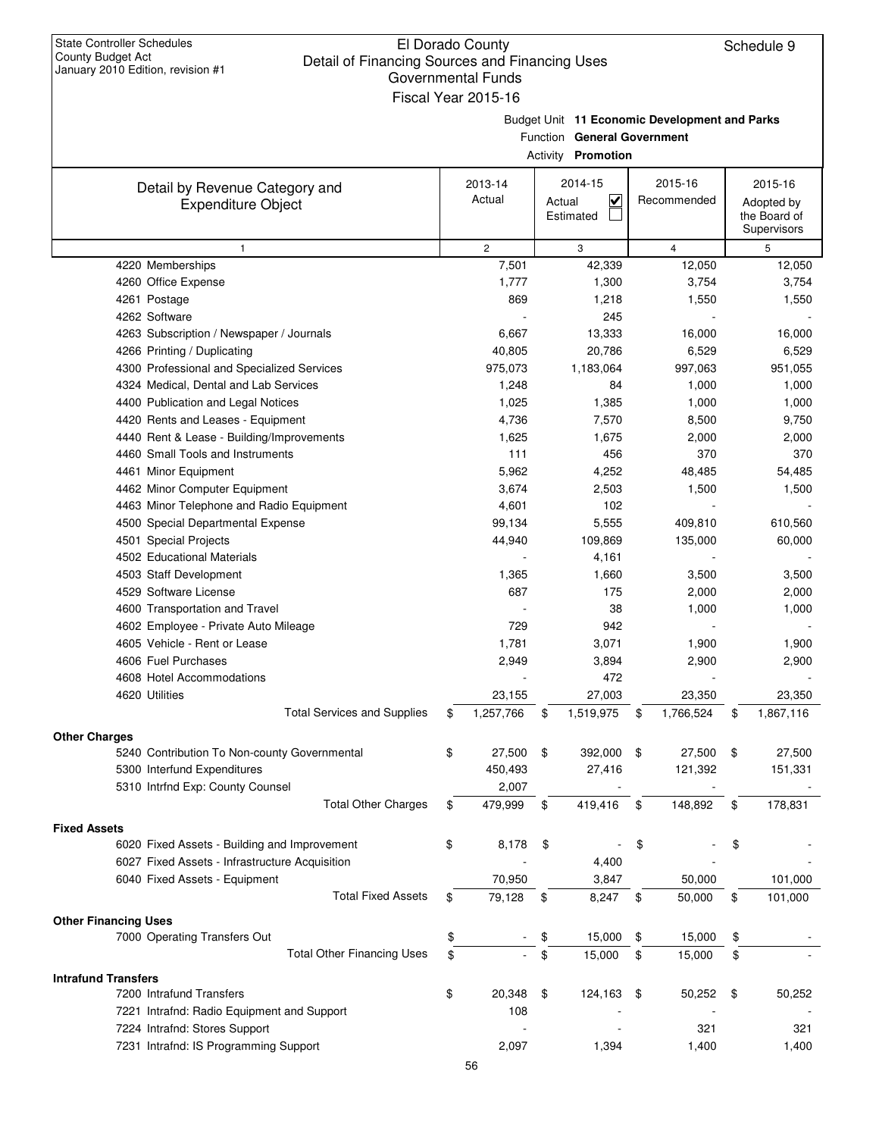| <b>State Controller Schedules</b><br>County Budget Act<br>Detail of Financing Sources and Financing Uses<br>January 2010 Edition, revision #1 | El Dorado County<br><b>Governmental Funds</b><br>Fiscal Year 2015-16 |                         |                     |                                                          |                                               | Schedule 9                                           |
|-----------------------------------------------------------------------------------------------------------------------------------------------|----------------------------------------------------------------------|-------------------------|---------------------|----------------------------------------------------------|-----------------------------------------------|------------------------------------------------------|
|                                                                                                                                               |                                                                      |                         |                     | Function General Government<br>Activity <b>Promotion</b> | Budget Unit 11 Economic Development and Parks |                                                      |
| Detail by Revenue Category and<br><b>Expenditure Object</b>                                                                                   |                                                                      | 2013-14<br>Actual       | Actual<br>Estimated | 2014-15<br>$\overline{\mathsf{v}}$                       | 2015-16<br>Recommended                        | 2015-16<br>Adopted by<br>the Board of<br>Supervisors |
| $\mathbf{1}$                                                                                                                                  |                                                                      | $\overline{\mathbf{c}}$ |                     | 3                                                        | 4                                             | 5                                                    |
| 4220 Memberships                                                                                                                              |                                                                      | 7,501                   |                     | 42,339                                                   | 12,050                                        | 12,050                                               |
| 4260 Office Expense                                                                                                                           |                                                                      | 1,777                   |                     | 1,300                                                    | 3,754                                         | 3,754                                                |
| 4261 Postage                                                                                                                                  |                                                                      | 869                     |                     | 1,218                                                    | 1,550                                         | 1,550                                                |
| 4262 Software                                                                                                                                 |                                                                      |                         |                     | 245                                                      |                                               |                                                      |
| 4263 Subscription / Newspaper / Journals                                                                                                      |                                                                      | 6,667                   |                     | 13,333                                                   | 16,000                                        | 16,000                                               |
| 4266 Printing / Duplicating                                                                                                                   |                                                                      | 40,805                  |                     | 20,786                                                   | 6,529                                         | 6,529                                                |
| 4300 Professional and Specialized Services                                                                                                    |                                                                      | 975,073                 |                     | 1,183,064                                                | 997,063                                       | 951,055                                              |
| 4324 Medical, Dental and Lab Services                                                                                                         |                                                                      | 1,248                   |                     | 84                                                       | 1,000                                         | 1,000                                                |
| 4400 Publication and Legal Notices                                                                                                            |                                                                      | 1,025                   |                     | 1,385                                                    | 1,000                                         | 1,000                                                |
| 4420 Rents and Leases - Equipment                                                                                                             |                                                                      | 4,736                   |                     | 7,570                                                    | 8,500                                         | 9,750                                                |
| 4440 Rent & Lease - Building/Improvements                                                                                                     |                                                                      | 1,625                   |                     | 1,675                                                    | 2,000                                         | 2,000                                                |
| 4460 Small Tools and Instruments                                                                                                              |                                                                      | 111                     |                     | 456                                                      | 370                                           | 370                                                  |
| 4461 Minor Equipment                                                                                                                          |                                                                      | 5,962                   |                     | 4,252                                                    | 48,485                                        | 54,485                                               |
| 4462 Minor Computer Equipment                                                                                                                 |                                                                      | 3,674                   |                     | 2,503                                                    | 1,500                                         | 1,500                                                |
| 4463 Minor Telephone and Radio Equipment                                                                                                      |                                                                      | 4,601                   |                     | 102                                                      |                                               |                                                      |
| 4500 Special Departmental Expense                                                                                                             |                                                                      | 99,134                  |                     | 5,555                                                    | 409,810                                       | 610,560                                              |
| 4501 Special Projects                                                                                                                         |                                                                      | 44,940                  |                     | 109,869                                                  | 135,000                                       | 60,000                                               |
| 4502 Educational Materials                                                                                                                    |                                                                      |                         |                     | 4,161                                                    |                                               |                                                      |
| 4503 Staff Development                                                                                                                        |                                                                      | 1,365                   |                     | 1,660                                                    | 3,500                                         | 3,500                                                |
| 4529 Software License                                                                                                                         |                                                                      | 687                     |                     | 175                                                      | 2,000                                         | 2,000                                                |
| 4600 Transportation and Travel                                                                                                                |                                                                      |                         |                     | 38                                                       | 1,000                                         | 1,000                                                |
| 4602 Employee - Private Auto Mileage                                                                                                          |                                                                      | 729                     |                     | 942                                                      |                                               |                                                      |
| 4605 Vehicle - Rent or Lease                                                                                                                  |                                                                      | 1,781                   |                     | 3,071                                                    | 1,900                                         | 1,900                                                |
| 4606 Fuel Purchases                                                                                                                           |                                                                      | 2,949                   |                     | 3,894                                                    | 2,900                                         | 2,900                                                |
| 4608 Hotel Accommodations                                                                                                                     |                                                                      |                         |                     | 472                                                      |                                               |                                                      |
| 4620 Utilities                                                                                                                                |                                                                      | 23,155                  |                     | 27,003                                                   | 23,350                                        | 23,350                                               |
| <b>Total Services and Supplies</b>                                                                                                            | \$                                                                   | 1,257,766               | \$                  | 1,519,975                                                | \$<br>1,766,524                               | \$<br>1,867,116                                      |
| <b>Other Charges</b>                                                                                                                          |                                                                      |                         |                     |                                                          |                                               |                                                      |
| 5240 Contribution To Non-county Governmental                                                                                                  | \$                                                                   | 27,500                  | \$                  | 392,000                                                  | \$<br>27,500                                  | \$<br>27,500                                         |
| 5300 Interfund Expenditures                                                                                                                   |                                                                      | 450,493                 |                     | 27,416                                                   | 121,392                                       | 151,331                                              |
| 5310 Intrfnd Exp: County Counsel                                                                                                              |                                                                      | 2,007                   |                     |                                                          |                                               |                                                      |
| <b>Total Other Charges</b>                                                                                                                    | \$                                                                   | 479,999                 | \$                  | 419,416                                                  | \$<br>148,892                                 | \$<br>178,831                                        |
| <b>Fixed Assets</b>                                                                                                                           |                                                                      |                         |                     |                                                          |                                               |                                                      |
| 6020 Fixed Assets - Building and Improvement                                                                                                  | \$                                                                   | 8,178                   | \$                  |                                                          | \$                                            | \$                                                   |
| 6027 Fixed Assets - Infrastructure Acquisition                                                                                                |                                                                      |                         |                     | 4,400                                                    |                                               |                                                      |
| 6040 Fixed Assets - Equipment                                                                                                                 |                                                                      | 70,950                  |                     | 3,847                                                    | 50,000                                        | 101,000                                              |
| <b>Total Fixed Assets</b>                                                                                                                     | \$                                                                   | 79,128                  | \$                  | 8,247                                                    | \$<br>50,000                                  | \$<br>101,000                                        |
|                                                                                                                                               |                                                                      |                         |                     |                                                          |                                               |                                                      |
| <b>Other Financing Uses</b>                                                                                                                   |                                                                      |                         |                     |                                                          |                                               |                                                      |
| 7000 Operating Transfers Out                                                                                                                  | \$                                                                   |                         | \$                  | 15,000                                                   | \$<br>15,000                                  | \$                                                   |
| <b>Total Other Financing Uses</b>                                                                                                             | \$                                                                   |                         | \$                  | 15,000                                                   | \$<br>15,000                                  | \$                                                   |
| <b>Intrafund Transfers</b>                                                                                                                    |                                                                      |                         |                     |                                                          |                                               |                                                      |
| 7200 Intrafund Transfers                                                                                                                      | \$                                                                   | 20,348                  | \$                  | 124,163                                                  | \$<br>50,252                                  | \$<br>50,252                                         |
| 7221 Intrafnd: Radio Equipment and Support                                                                                                    |                                                                      | 108                     |                     |                                                          |                                               |                                                      |
| 7224 Intrafnd: Stores Support                                                                                                                 |                                                                      |                         |                     |                                                          | 321                                           | 321                                                  |
| 7231 Intrafnd: IS Programming Support                                                                                                         |                                                                      | 2,097                   |                     | 1,394                                                    | 1,400                                         | 1,400                                                |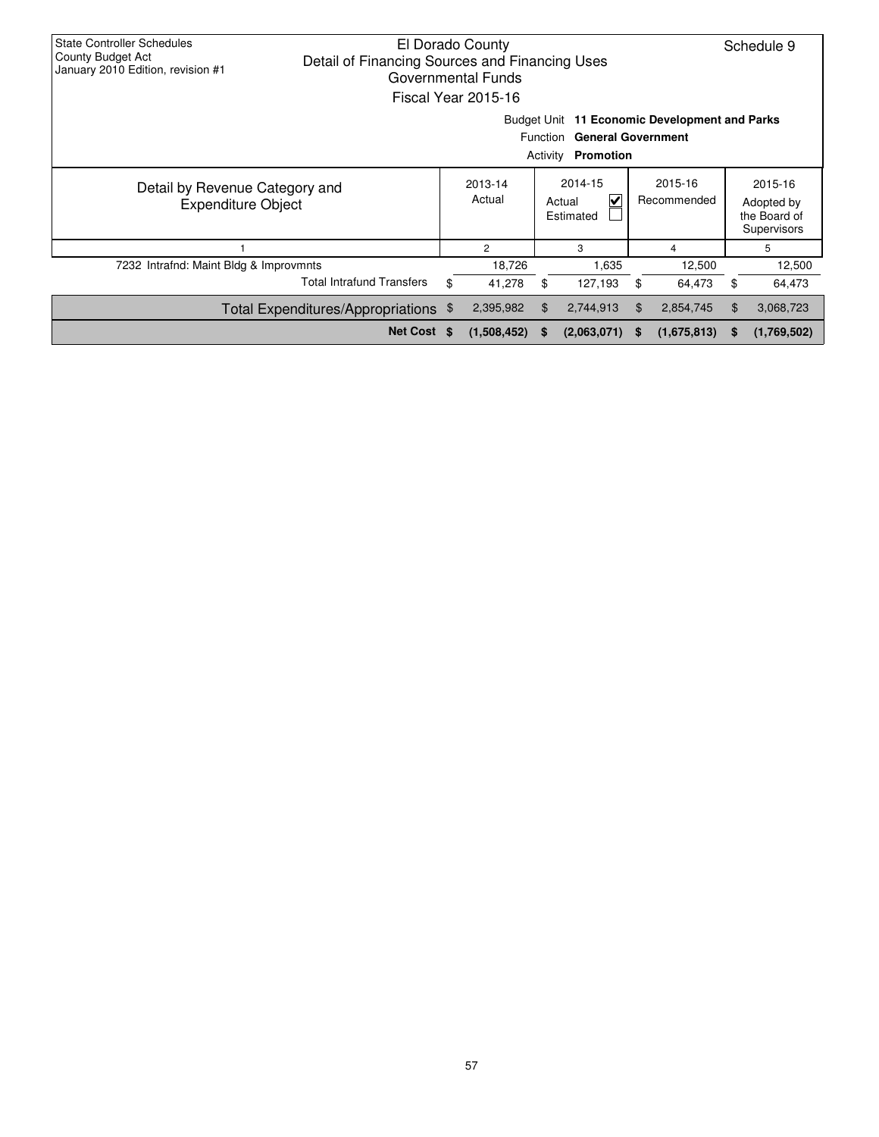| <b>State Controller Schedules</b><br>El Dorado County<br>County Budget Act<br>Detail of Financing Sources and Financing Uses<br>January 2010 Edition, revision #1<br>Governmental Funds<br>Fiscal Year 2015-16 |                                                                                                                        |    |                   |          |                                                           |          |                        |                                                      | Schedule 9  |  |
|----------------------------------------------------------------------------------------------------------------------------------------------------------------------------------------------------------------|------------------------------------------------------------------------------------------------------------------------|----|-------------------|----------|-----------------------------------------------------------|----------|------------------------|------------------------------------------------------|-------------|--|
|                                                                                                                                                                                                                | Budget Unit 11 Economic Development and Parks<br>Function<br><b>General Government</b><br>Activity<br><b>Promotion</b> |    |                   |          |                                                           |          |                        |                                                      |             |  |
| Detail by Revenue Category and<br><b>Expenditure Object</b>                                                                                                                                                    |                                                                                                                        |    | 2013-14<br>Actual |          | 2014-15<br>$\overline{\mathsf{v}}$<br>Actual<br>Estimated |          | 2015-16<br>Recommended | 2015-16<br>Adopted by<br>the Board of<br>Supervisors |             |  |
|                                                                                                                                                                                                                |                                                                                                                        |    | $\overline{2}$    |          | 3                                                         |          | 4                      |                                                      | 5           |  |
| 7232 Intrafnd: Maint Bldg & Improvmnts                                                                                                                                                                         |                                                                                                                        |    | 18,726            |          | 1.635                                                     | 12,500   |                        |                                                      | 12,500      |  |
|                                                                                                                                                                                                                | <b>Total Intrafund Transfers</b>                                                                                       | \$ | 41,278            | \$       | 127,193                                                   | \$       | 64,473                 | \$                                                   | 64,473      |  |
| Total Expenditures/Appropriations \$                                                                                                                                                                           |                                                                                                                        |    | 2,395,982         | \$       | 2,744,913                                                 | \$.      | 2,854,745              | \$                                                   | 3,068,723   |  |
|                                                                                                                                                                                                                | Net Cost \$                                                                                                            |    | (1,508,452)       | <b>S</b> | (2,063,071)                                               | <b>S</b> | (1,675,813)            | S.                                                   | (1,769,502) |  |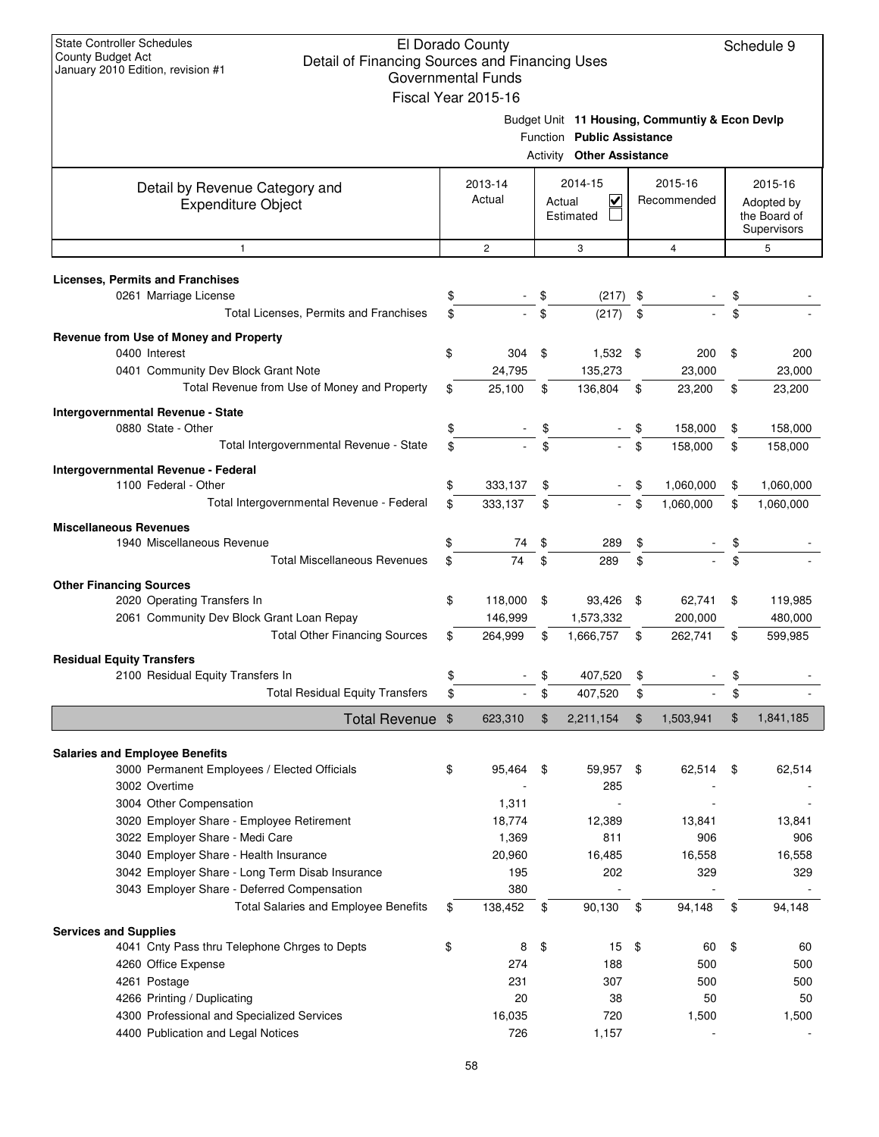| Fiscal Year 2015-16<br>Budget Unit 11 Housing, Communtiy & Econ Devlp<br>Function Public Assistance<br><b>Activity Other Assistance</b><br>2014-15<br>2015-16<br>2013-14<br>2015-16<br>Detail by Revenue Category and<br>$\overline{\mathbf{v}}$<br>Actual<br>Recommended<br>Actual<br><b>Expenditure Object</b><br>Adopted by<br>the Board of<br>Estimated<br>Supervisors<br>$\mathbf{2}$<br>3<br>5<br>$\overline{4}$<br>1<br>0261 Marriage License<br>\$<br>\$<br>\$<br>(217)<br>Total Licenses, Permits and Franchises<br>\$<br>\$<br>\$<br>\$<br>(217)<br>\$<br>0400 Interest<br>304<br>\$<br>1,532<br>\$<br>200<br>\$<br>0401 Community Dev Block Grant Note<br>24,795<br>135,273<br>23,000<br>23,000<br>Total Revenue from Use of Money and Property<br>\$<br>25,100<br>\$<br>136,804<br>\$<br>\$<br>23,200<br>23,200<br>Intergovernmental Revenue - State<br>0880 State - Other<br>\$<br>\$<br>\$<br>158,000<br>\$<br>\$<br>\$<br>Total Intergovernmental Revenue - State<br>\$<br>158,000<br>\$<br>158,000<br>1100 Federal - Other<br>\$<br>1,060,000<br>333,137<br>\$<br>\$<br>\$<br>Total Intergovernmental Revenue - Federal<br>\$<br>\$<br>\$<br>1,060,000<br>333,137<br>\$<br>1,060,000<br>1940 Miscellaneous Revenue<br>\$<br>\$<br>\$<br>\$<br>74<br>289<br><b>Total Miscellaneous Revenues</b><br>74<br>\$<br>\$<br>\$<br>\$<br>289<br><b>Other Financing Sources</b><br>2020 Operating Transfers In<br>\$<br>118,000<br>\$<br>93,426<br>\$<br>62,741<br>\$<br>2061 Community Dev Block Grant Loan Repay<br>146,999<br>1,573,332<br>200,000<br><b>Total Other Financing Sources</b><br>264,999<br>1,666,757<br>262,741<br>599,985<br>\$<br>\$<br>\$<br>\$<br>\$<br>\$<br>2100 Residual Equity Transfers In<br>\$<br>\$<br>407,520<br><b>Total Residual Equity Transfers</b><br>\$<br>\$<br>\$<br>407,520<br>\$<br>\$<br>1,841,185<br>$\mathfrak{F}$<br>1,503,941<br>Total Revenue \$<br>623,310<br>\$<br>2,211,154<br>3000 Permanent Employees / Elected Officials<br>\$<br>95,464<br>59,957<br>62,514<br>62,514<br>\$<br>\$<br>\$<br>3002 Overtime<br>285<br>3004 Other Compensation<br>1,311<br>3020 Employer Share - Employee Retirement<br>18,774<br>12,389<br>13,841<br>3022 Employer Share - Medi Care<br>1,369<br>811<br>906<br>3040 Employer Share - Health Insurance<br>20,960<br>16,485<br>16,558<br>3042 Employer Share - Long Term Disab Insurance<br>195<br>202<br>329<br>3043 Employer Share - Deferred Compensation<br>380<br>Total Salaries and Employee Benefits<br>138,452<br>\$<br>90,130<br>\$<br>94,148<br>\$<br>\$<br>94,148<br>4041 Cnty Pass thru Telephone Chrges to Depts<br>\$<br>15<br>\$<br>\$<br>8<br>60<br>\$<br>4260 Office Expense<br>274<br>500<br>188<br>500<br>4261 Postage<br>231<br>307<br>500<br>500<br>4266 Printing / Duplicating<br>20<br>50<br>38<br>50<br>4300 Professional and Specialized Services<br>16,035<br>720<br>1,500<br>1,500<br>4400 Publication and Legal Notices<br>726<br>1,157 | <b>State Controller Schedules</b><br>El Dorado County<br>Schedule 9<br><b>County Budget Act</b><br>Detail of Financing Sources and Financing Uses<br>January 2010 Edition, revision #1<br>Governmental Funds |  |  |  |  |  |  |  |           |  |
|-----------------------------------------------------------------------------------------------------------------------------------------------------------------------------------------------------------------------------------------------------------------------------------------------------------------------------------------------------------------------------------------------------------------------------------------------------------------------------------------------------------------------------------------------------------------------------------------------------------------------------------------------------------------------------------------------------------------------------------------------------------------------------------------------------------------------------------------------------------------------------------------------------------------------------------------------------------------------------------------------------------------------------------------------------------------------------------------------------------------------------------------------------------------------------------------------------------------------------------------------------------------------------------------------------------------------------------------------------------------------------------------------------------------------------------------------------------------------------------------------------------------------------------------------------------------------------------------------------------------------------------------------------------------------------------------------------------------------------------------------------------------------------------------------------------------------------------------------------------------------------------------------------------------------------------------------------------------------------------------------------------------------------------------------------------------------------------------------------------------------------------------------------------------------------------------------------------------------------------------------------------------------------------------------------------------------------------------------------------------------------------------------------------------------------------------------------------------------------------------------------------------------------------------------------------------------------------------------------------------------------------------------------------------------------------------------------------------------------------------------------------------------------------------------------------------------------------------------------------------------------------------------------------------------------------------------------------|--------------------------------------------------------------------------------------------------------------------------------------------------------------------------------------------------------------|--|--|--|--|--|--|--|-----------|--|
|                                                                                                                                                                                                                                                                                                                                                                                                                                                                                                                                                                                                                                                                                                                                                                                                                                                                                                                                                                                                                                                                                                                                                                                                                                                                                                                                                                                                                                                                                                                                                                                                                                                                                                                                                                                                                                                                                                                                                                                                                                                                                                                                                                                                                                                                                                                                                                                                                                                                                                                                                                                                                                                                                                                                                                                                                                                                                                                                                           |                                                                                                                                                                                                              |  |  |  |  |  |  |  |           |  |
|                                                                                                                                                                                                                                                                                                                                                                                                                                                                                                                                                                                                                                                                                                                                                                                                                                                                                                                                                                                                                                                                                                                                                                                                                                                                                                                                                                                                                                                                                                                                                                                                                                                                                                                                                                                                                                                                                                                                                                                                                                                                                                                                                                                                                                                                                                                                                                                                                                                                                                                                                                                                                                                                                                                                                                                                                                                                                                                                                           |                                                                                                                                                                                                              |  |  |  |  |  |  |  |           |  |
|                                                                                                                                                                                                                                                                                                                                                                                                                                                                                                                                                                                                                                                                                                                                                                                                                                                                                                                                                                                                                                                                                                                                                                                                                                                                                                                                                                                                                                                                                                                                                                                                                                                                                                                                                                                                                                                                                                                                                                                                                                                                                                                                                                                                                                                                                                                                                                                                                                                                                                                                                                                                                                                                                                                                                                                                                                                                                                                                                           |                                                                                                                                                                                                              |  |  |  |  |  |  |  |           |  |
|                                                                                                                                                                                                                                                                                                                                                                                                                                                                                                                                                                                                                                                                                                                                                                                                                                                                                                                                                                                                                                                                                                                                                                                                                                                                                                                                                                                                                                                                                                                                                                                                                                                                                                                                                                                                                                                                                                                                                                                                                                                                                                                                                                                                                                                                                                                                                                                                                                                                                                                                                                                                                                                                                                                                                                                                                                                                                                                                                           |                                                                                                                                                                                                              |  |  |  |  |  |  |  |           |  |
|                                                                                                                                                                                                                                                                                                                                                                                                                                                                                                                                                                                                                                                                                                                                                                                                                                                                                                                                                                                                                                                                                                                                                                                                                                                                                                                                                                                                                                                                                                                                                                                                                                                                                                                                                                                                                                                                                                                                                                                                                                                                                                                                                                                                                                                                                                                                                                                                                                                                                                                                                                                                                                                                                                                                                                                                                                                                                                                                                           |                                                                                                                                                                                                              |  |  |  |  |  |  |  |           |  |
|                                                                                                                                                                                                                                                                                                                                                                                                                                                                                                                                                                                                                                                                                                                                                                                                                                                                                                                                                                                                                                                                                                                                                                                                                                                                                                                                                                                                                                                                                                                                                                                                                                                                                                                                                                                                                                                                                                                                                                                                                                                                                                                                                                                                                                                                                                                                                                                                                                                                                                                                                                                                                                                                                                                                                                                                                                                                                                                                                           | <b>Licenses, Permits and Franchises</b>                                                                                                                                                                      |  |  |  |  |  |  |  |           |  |
|                                                                                                                                                                                                                                                                                                                                                                                                                                                                                                                                                                                                                                                                                                                                                                                                                                                                                                                                                                                                                                                                                                                                                                                                                                                                                                                                                                                                                                                                                                                                                                                                                                                                                                                                                                                                                                                                                                                                                                                                                                                                                                                                                                                                                                                                                                                                                                                                                                                                                                                                                                                                                                                                                                                                                                                                                                                                                                                                                           |                                                                                                                                                                                                              |  |  |  |  |  |  |  |           |  |
|                                                                                                                                                                                                                                                                                                                                                                                                                                                                                                                                                                                                                                                                                                                                                                                                                                                                                                                                                                                                                                                                                                                                                                                                                                                                                                                                                                                                                                                                                                                                                                                                                                                                                                                                                                                                                                                                                                                                                                                                                                                                                                                                                                                                                                                                                                                                                                                                                                                                                                                                                                                                                                                                                                                                                                                                                                                                                                                                                           | Revenue from Use of Money and Property                                                                                                                                                                       |  |  |  |  |  |  |  |           |  |
|                                                                                                                                                                                                                                                                                                                                                                                                                                                                                                                                                                                                                                                                                                                                                                                                                                                                                                                                                                                                                                                                                                                                                                                                                                                                                                                                                                                                                                                                                                                                                                                                                                                                                                                                                                                                                                                                                                                                                                                                                                                                                                                                                                                                                                                                                                                                                                                                                                                                                                                                                                                                                                                                                                                                                                                                                                                                                                                                                           |                                                                                                                                                                                                              |  |  |  |  |  |  |  | 200       |  |
|                                                                                                                                                                                                                                                                                                                                                                                                                                                                                                                                                                                                                                                                                                                                                                                                                                                                                                                                                                                                                                                                                                                                                                                                                                                                                                                                                                                                                                                                                                                                                                                                                                                                                                                                                                                                                                                                                                                                                                                                                                                                                                                                                                                                                                                                                                                                                                                                                                                                                                                                                                                                                                                                                                                                                                                                                                                                                                                                                           |                                                                                                                                                                                                              |  |  |  |  |  |  |  |           |  |
|                                                                                                                                                                                                                                                                                                                                                                                                                                                                                                                                                                                                                                                                                                                                                                                                                                                                                                                                                                                                                                                                                                                                                                                                                                                                                                                                                                                                                                                                                                                                                                                                                                                                                                                                                                                                                                                                                                                                                                                                                                                                                                                                                                                                                                                                                                                                                                                                                                                                                                                                                                                                                                                                                                                                                                                                                                                                                                                                                           |                                                                                                                                                                                                              |  |  |  |  |  |  |  |           |  |
|                                                                                                                                                                                                                                                                                                                                                                                                                                                                                                                                                                                                                                                                                                                                                                                                                                                                                                                                                                                                                                                                                                                                                                                                                                                                                                                                                                                                                                                                                                                                                                                                                                                                                                                                                                                                                                                                                                                                                                                                                                                                                                                                                                                                                                                                                                                                                                                                                                                                                                                                                                                                                                                                                                                                                                                                                                                                                                                                                           |                                                                                                                                                                                                              |  |  |  |  |  |  |  | 158,000   |  |
|                                                                                                                                                                                                                                                                                                                                                                                                                                                                                                                                                                                                                                                                                                                                                                                                                                                                                                                                                                                                                                                                                                                                                                                                                                                                                                                                                                                                                                                                                                                                                                                                                                                                                                                                                                                                                                                                                                                                                                                                                                                                                                                                                                                                                                                                                                                                                                                                                                                                                                                                                                                                                                                                                                                                                                                                                                                                                                                                                           |                                                                                                                                                                                                              |  |  |  |  |  |  |  |           |  |
|                                                                                                                                                                                                                                                                                                                                                                                                                                                                                                                                                                                                                                                                                                                                                                                                                                                                                                                                                                                                                                                                                                                                                                                                                                                                                                                                                                                                                                                                                                                                                                                                                                                                                                                                                                                                                                                                                                                                                                                                                                                                                                                                                                                                                                                                                                                                                                                                                                                                                                                                                                                                                                                                                                                                                                                                                                                                                                                                                           | Intergovernmental Revenue - Federal                                                                                                                                                                          |  |  |  |  |  |  |  |           |  |
|                                                                                                                                                                                                                                                                                                                                                                                                                                                                                                                                                                                                                                                                                                                                                                                                                                                                                                                                                                                                                                                                                                                                                                                                                                                                                                                                                                                                                                                                                                                                                                                                                                                                                                                                                                                                                                                                                                                                                                                                                                                                                                                                                                                                                                                                                                                                                                                                                                                                                                                                                                                                                                                                                                                                                                                                                                                                                                                                                           |                                                                                                                                                                                                              |  |  |  |  |  |  |  | 1,060,000 |  |
|                                                                                                                                                                                                                                                                                                                                                                                                                                                                                                                                                                                                                                                                                                                                                                                                                                                                                                                                                                                                                                                                                                                                                                                                                                                                                                                                                                                                                                                                                                                                                                                                                                                                                                                                                                                                                                                                                                                                                                                                                                                                                                                                                                                                                                                                                                                                                                                                                                                                                                                                                                                                                                                                                                                                                                                                                                                                                                                                                           |                                                                                                                                                                                                              |  |  |  |  |  |  |  |           |  |
|                                                                                                                                                                                                                                                                                                                                                                                                                                                                                                                                                                                                                                                                                                                                                                                                                                                                                                                                                                                                                                                                                                                                                                                                                                                                                                                                                                                                                                                                                                                                                                                                                                                                                                                                                                                                                                                                                                                                                                                                                                                                                                                                                                                                                                                                                                                                                                                                                                                                                                                                                                                                                                                                                                                                                                                                                                                                                                                                                           | <b>Miscellaneous Revenues</b>                                                                                                                                                                                |  |  |  |  |  |  |  |           |  |
|                                                                                                                                                                                                                                                                                                                                                                                                                                                                                                                                                                                                                                                                                                                                                                                                                                                                                                                                                                                                                                                                                                                                                                                                                                                                                                                                                                                                                                                                                                                                                                                                                                                                                                                                                                                                                                                                                                                                                                                                                                                                                                                                                                                                                                                                                                                                                                                                                                                                                                                                                                                                                                                                                                                                                                                                                                                                                                                                                           |                                                                                                                                                                                                              |  |  |  |  |  |  |  |           |  |
|                                                                                                                                                                                                                                                                                                                                                                                                                                                                                                                                                                                                                                                                                                                                                                                                                                                                                                                                                                                                                                                                                                                                                                                                                                                                                                                                                                                                                                                                                                                                                                                                                                                                                                                                                                                                                                                                                                                                                                                                                                                                                                                                                                                                                                                                                                                                                                                                                                                                                                                                                                                                                                                                                                                                                                                                                                                                                                                                                           |                                                                                                                                                                                                              |  |  |  |  |  |  |  |           |  |
|                                                                                                                                                                                                                                                                                                                                                                                                                                                                                                                                                                                                                                                                                                                                                                                                                                                                                                                                                                                                                                                                                                                                                                                                                                                                                                                                                                                                                                                                                                                                                                                                                                                                                                                                                                                                                                                                                                                                                                                                                                                                                                                                                                                                                                                                                                                                                                                                                                                                                                                                                                                                                                                                                                                                                                                                                                                                                                                                                           |                                                                                                                                                                                                              |  |  |  |  |  |  |  | 119,985   |  |
|                                                                                                                                                                                                                                                                                                                                                                                                                                                                                                                                                                                                                                                                                                                                                                                                                                                                                                                                                                                                                                                                                                                                                                                                                                                                                                                                                                                                                                                                                                                                                                                                                                                                                                                                                                                                                                                                                                                                                                                                                                                                                                                                                                                                                                                                                                                                                                                                                                                                                                                                                                                                                                                                                                                                                                                                                                                                                                                                                           |                                                                                                                                                                                                              |  |  |  |  |  |  |  | 480,000   |  |
|                                                                                                                                                                                                                                                                                                                                                                                                                                                                                                                                                                                                                                                                                                                                                                                                                                                                                                                                                                                                                                                                                                                                                                                                                                                                                                                                                                                                                                                                                                                                                                                                                                                                                                                                                                                                                                                                                                                                                                                                                                                                                                                                                                                                                                                                                                                                                                                                                                                                                                                                                                                                                                                                                                                                                                                                                                                                                                                                                           |                                                                                                                                                                                                              |  |  |  |  |  |  |  |           |  |
|                                                                                                                                                                                                                                                                                                                                                                                                                                                                                                                                                                                                                                                                                                                                                                                                                                                                                                                                                                                                                                                                                                                                                                                                                                                                                                                                                                                                                                                                                                                                                                                                                                                                                                                                                                                                                                                                                                                                                                                                                                                                                                                                                                                                                                                                                                                                                                                                                                                                                                                                                                                                                                                                                                                                                                                                                                                                                                                                                           | <b>Residual Equity Transfers</b>                                                                                                                                                                             |  |  |  |  |  |  |  |           |  |
|                                                                                                                                                                                                                                                                                                                                                                                                                                                                                                                                                                                                                                                                                                                                                                                                                                                                                                                                                                                                                                                                                                                                                                                                                                                                                                                                                                                                                                                                                                                                                                                                                                                                                                                                                                                                                                                                                                                                                                                                                                                                                                                                                                                                                                                                                                                                                                                                                                                                                                                                                                                                                                                                                                                                                                                                                                                                                                                                                           |                                                                                                                                                                                                              |  |  |  |  |  |  |  |           |  |
|                                                                                                                                                                                                                                                                                                                                                                                                                                                                                                                                                                                                                                                                                                                                                                                                                                                                                                                                                                                                                                                                                                                                                                                                                                                                                                                                                                                                                                                                                                                                                                                                                                                                                                                                                                                                                                                                                                                                                                                                                                                                                                                                                                                                                                                                                                                                                                                                                                                                                                                                                                                                                                                                                                                                                                                                                                                                                                                                                           |                                                                                                                                                                                                              |  |  |  |  |  |  |  |           |  |
|                                                                                                                                                                                                                                                                                                                                                                                                                                                                                                                                                                                                                                                                                                                                                                                                                                                                                                                                                                                                                                                                                                                                                                                                                                                                                                                                                                                                                                                                                                                                                                                                                                                                                                                                                                                                                                                                                                                                                                                                                                                                                                                                                                                                                                                                                                                                                                                                                                                                                                                                                                                                                                                                                                                                                                                                                                                                                                                                                           |                                                                                                                                                                                                              |  |  |  |  |  |  |  |           |  |
|                                                                                                                                                                                                                                                                                                                                                                                                                                                                                                                                                                                                                                                                                                                                                                                                                                                                                                                                                                                                                                                                                                                                                                                                                                                                                                                                                                                                                                                                                                                                                                                                                                                                                                                                                                                                                                                                                                                                                                                                                                                                                                                                                                                                                                                                                                                                                                                                                                                                                                                                                                                                                                                                                                                                                                                                                                                                                                                                                           | <b>Salaries and Employee Benefits</b>                                                                                                                                                                        |  |  |  |  |  |  |  |           |  |
|                                                                                                                                                                                                                                                                                                                                                                                                                                                                                                                                                                                                                                                                                                                                                                                                                                                                                                                                                                                                                                                                                                                                                                                                                                                                                                                                                                                                                                                                                                                                                                                                                                                                                                                                                                                                                                                                                                                                                                                                                                                                                                                                                                                                                                                                                                                                                                                                                                                                                                                                                                                                                                                                                                                                                                                                                                                                                                                                                           |                                                                                                                                                                                                              |  |  |  |  |  |  |  |           |  |
|                                                                                                                                                                                                                                                                                                                                                                                                                                                                                                                                                                                                                                                                                                                                                                                                                                                                                                                                                                                                                                                                                                                                                                                                                                                                                                                                                                                                                                                                                                                                                                                                                                                                                                                                                                                                                                                                                                                                                                                                                                                                                                                                                                                                                                                                                                                                                                                                                                                                                                                                                                                                                                                                                                                                                                                                                                                                                                                                                           |                                                                                                                                                                                                              |  |  |  |  |  |  |  |           |  |
|                                                                                                                                                                                                                                                                                                                                                                                                                                                                                                                                                                                                                                                                                                                                                                                                                                                                                                                                                                                                                                                                                                                                                                                                                                                                                                                                                                                                                                                                                                                                                                                                                                                                                                                                                                                                                                                                                                                                                                                                                                                                                                                                                                                                                                                                                                                                                                                                                                                                                                                                                                                                                                                                                                                                                                                                                                                                                                                                                           |                                                                                                                                                                                                              |  |  |  |  |  |  |  | 13,841    |  |
|                                                                                                                                                                                                                                                                                                                                                                                                                                                                                                                                                                                                                                                                                                                                                                                                                                                                                                                                                                                                                                                                                                                                                                                                                                                                                                                                                                                                                                                                                                                                                                                                                                                                                                                                                                                                                                                                                                                                                                                                                                                                                                                                                                                                                                                                                                                                                                                                                                                                                                                                                                                                                                                                                                                                                                                                                                                                                                                                                           |                                                                                                                                                                                                              |  |  |  |  |  |  |  | 906       |  |
|                                                                                                                                                                                                                                                                                                                                                                                                                                                                                                                                                                                                                                                                                                                                                                                                                                                                                                                                                                                                                                                                                                                                                                                                                                                                                                                                                                                                                                                                                                                                                                                                                                                                                                                                                                                                                                                                                                                                                                                                                                                                                                                                                                                                                                                                                                                                                                                                                                                                                                                                                                                                                                                                                                                                                                                                                                                                                                                                                           |                                                                                                                                                                                                              |  |  |  |  |  |  |  | 16,558    |  |
|                                                                                                                                                                                                                                                                                                                                                                                                                                                                                                                                                                                                                                                                                                                                                                                                                                                                                                                                                                                                                                                                                                                                                                                                                                                                                                                                                                                                                                                                                                                                                                                                                                                                                                                                                                                                                                                                                                                                                                                                                                                                                                                                                                                                                                                                                                                                                                                                                                                                                                                                                                                                                                                                                                                                                                                                                                                                                                                                                           |                                                                                                                                                                                                              |  |  |  |  |  |  |  | 329       |  |
|                                                                                                                                                                                                                                                                                                                                                                                                                                                                                                                                                                                                                                                                                                                                                                                                                                                                                                                                                                                                                                                                                                                                                                                                                                                                                                                                                                                                                                                                                                                                                                                                                                                                                                                                                                                                                                                                                                                                                                                                                                                                                                                                                                                                                                                                                                                                                                                                                                                                                                                                                                                                                                                                                                                                                                                                                                                                                                                                                           |                                                                                                                                                                                                              |  |  |  |  |  |  |  |           |  |
|                                                                                                                                                                                                                                                                                                                                                                                                                                                                                                                                                                                                                                                                                                                                                                                                                                                                                                                                                                                                                                                                                                                                                                                                                                                                                                                                                                                                                                                                                                                                                                                                                                                                                                                                                                                                                                                                                                                                                                                                                                                                                                                                                                                                                                                                                                                                                                                                                                                                                                                                                                                                                                                                                                                                                                                                                                                                                                                                                           |                                                                                                                                                                                                              |  |  |  |  |  |  |  |           |  |
|                                                                                                                                                                                                                                                                                                                                                                                                                                                                                                                                                                                                                                                                                                                                                                                                                                                                                                                                                                                                                                                                                                                                                                                                                                                                                                                                                                                                                                                                                                                                                                                                                                                                                                                                                                                                                                                                                                                                                                                                                                                                                                                                                                                                                                                                                                                                                                                                                                                                                                                                                                                                                                                                                                                                                                                                                                                                                                                                                           | <b>Services and Supplies</b>                                                                                                                                                                                 |  |  |  |  |  |  |  |           |  |
|                                                                                                                                                                                                                                                                                                                                                                                                                                                                                                                                                                                                                                                                                                                                                                                                                                                                                                                                                                                                                                                                                                                                                                                                                                                                                                                                                                                                                                                                                                                                                                                                                                                                                                                                                                                                                                                                                                                                                                                                                                                                                                                                                                                                                                                                                                                                                                                                                                                                                                                                                                                                                                                                                                                                                                                                                                                                                                                                                           |                                                                                                                                                                                                              |  |  |  |  |  |  |  | 60        |  |
|                                                                                                                                                                                                                                                                                                                                                                                                                                                                                                                                                                                                                                                                                                                                                                                                                                                                                                                                                                                                                                                                                                                                                                                                                                                                                                                                                                                                                                                                                                                                                                                                                                                                                                                                                                                                                                                                                                                                                                                                                                                                                                                                                                                                                                                                                                                                                                                                                                                                                                                                                                                                                                                                                                                                                                                                                                                                                                                                                           |                                                                                                                                                                                                              |  |  |  |  |  |  |  |           |  |
|                                                                                                                                                                                                                                                                                                                                                                                                                                                                                                                                                                                                                                                                                                                                                                                                                                                                                                                                                                                                                                                                                                                                                                                                                                                                                                                                                                                                                                                                                                                                                                                                                                                                                                                                                                                                                                                                                                                                                                                                                                                                                                                                                                                                                                                                                                                                                                                                                                                                                                                                                                                                                                                                                                                                                                                                                                                                                                                                                           |                                                                                                                                                                                                              |  |  |  |  |  |  |  |           |  |
|                                                                                                                                                                                                                                                                                                                                                                                                                                                                                                                                                                                                                                                                                                                                                                                                                                                                                                                                                                                                                                                                                                                                                                                                                                                                                                                                                                                                                                                                                                                                                                                                                                                                                                                                                                                                                                                                                                                                                                                                                                                                                                                                                                                                                                                                                                                                                                                                                                                                                                                                                                                                                                                                                                                                                                                                                                                                                                                                                           |                                                                                                                                                                                                              |  |  |  |  |  |  |  |           |  |
|                                                                                                                                                                                                                                                                                                                                                                                                                                                                                                                                                                                                                                                                                                                                                                                                                                                                                                                                                                                                                                                                                                                                                                                                                                                                                                                                                                                                                                                                                                                                                                                                                                                                                                                                                                                                                                                                                                                                                                                                                                                                                                                                                                                                                                                                                                                                                                                                                                                                                                                                                                                                                                                                                                                                                                                                                                                                                                                                                           |                                                                                                                                                                                                              |  |  |  |  |  |  |  |           |  |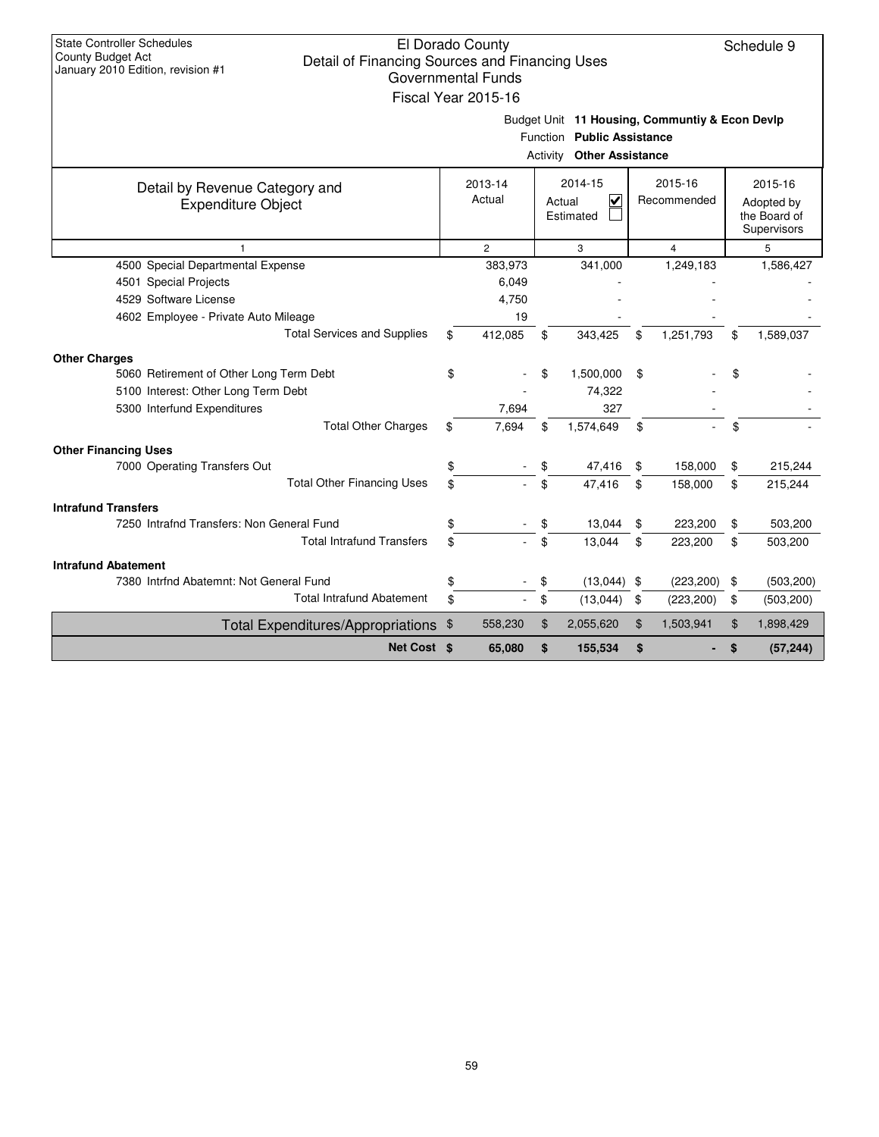| <b>State Controller Schedules</b>                                   |    |                           |                                                |                  |                  |
|---------------------------------------------------------------------|----|---------------------------|------------------------------------------------|------------------|------------------|
| County Budget Act<br>Detail of Financing Sources and Financing Uses |    | El Dorado County          |                                                |                  | Schedule 9       |
| January 2010 Edition, revision #1                                   |    | <b>Governmental Funds</b> |                                                |                  |                  |
|                                                                     |    | Fiscal Year 2015-16       |                                                |                  |                  |
|                                                                     |    |                           |                                                |                  |                  |
|                                                                     |    |                           | Budget Unit 11 Housing, Communtiy & Econ Devlp |                  |                  |
|                                                                     |    |                           | Function Public Assistance                     |                  |                  |
|                                                                     |    |                           | <b>Activity Other Assistance</b>               |                  |                  |
| Detail by Revenue Category and                                      |    | 2013-14                   | 2014-15                                        | 2015-16          | 2015-16          |
| <b>Expenditure Object</b>                                           |    | Actual                    | $\overline{\mathbf{v}}$<br>Actual              | Recommended      | Adopted by       |
|                                                                     |    |                           | Estimated                                      |                  | the Board of     |
|                                                                     |    |                           |                                                |                  | Supervisors      |
| $\mathbf{1}$                                                        |    | $\overline{c}$            | 3                                              | $\overline{4}$   | 5                |
| 4500 Special Departmental Expense                                   |    | 383,973                   | 341,000                                        | 1,249,183        | 1,586,427        |
| 4501 Special Projects                                               |    | 6,049                     |                                                |                  |                  |
| 4529 Software License                                               |    | 4.750                     |                                                |                  |                  |
| 4602 Employee - Private Auto Mileage                                |    | 19                        |                                                |                  |                  |
| <b>Total Services and Supplies</b>                                  | \$ | 412,085                   | \$<br>343,425                                  | \$<br>1,251,793  | \$<br>1,589,037  |
| <b>Other Charges</b>                                                |    |                           |                                                |                  |                  |
| 5060 Retirement of Other Long Term Debt                             | \$ |                           | \$<br>1,500,000                                | \$               |                  |
| 5100 Interest: Other Long Term Debt                                 |    |                           | 74,322                                         |                  |                  |
| 5300 Interfund Expenditures                                         |    | 7,694                     | 327                                            |                  |                  |
| <b>Total Other Charges</b>                                          | \$ | 7.694                     | \$<br>1,574,649                                | \$               | \$               |
| <b>Other Financing Uses</b>                                         |    |                           |                                                |                  |                  |
| 7000 Operating Transfers Out                                        | \$ |                           | \$<br>47,416                                   | \$<br>158,000    | \$<br>215,244    |
| <b>Total Other Financing Uses</b>                                   | \$ |                           | \$<br>47,416                                   | \$<br>158,000    | \$<br>215,244    |
| <b>Intrafund Transfers</b>                                          |    |                           |                                                |                  |                  |
| 7250 Intrafnd Transfers: Non General Fund                           | \$ |                           | \$<br>13,044                                   | \$<br>223,200    | \$<br>503,200    |
| <b>Total Intrafund Transfers</b>                                    | \$ |                           | \$<br>13,044                                   | \$<br>223,200    | \$<br>503,200    |
| <b>Intrafund Abatement</b>                                          |    |                           |                                                |                  |                  |
| 7380 Intrfnd Abatemnt: Not General Fund                             | \$ |                           | \$<br>$(13,044)$ \$                            | (223, 200)       | \$<br>(503, 200) |
| <b>Total Intrafund Abatement</b>                                    |    |                           | \$<br>(13,044)                                 | \$<br>(223, 200) | \$<br>(503, 200) |
| Total Expenditures/Appropriations \$                                |    | 558,230                   | \$<br>2,055,620                                | \$<br>1,503,941  | \$<br>1,898,429  |
| Net Cost \$                                                         |    | 65,080                    | \$<br>155,534                                  | \$               | \$<br>(57, 244)  |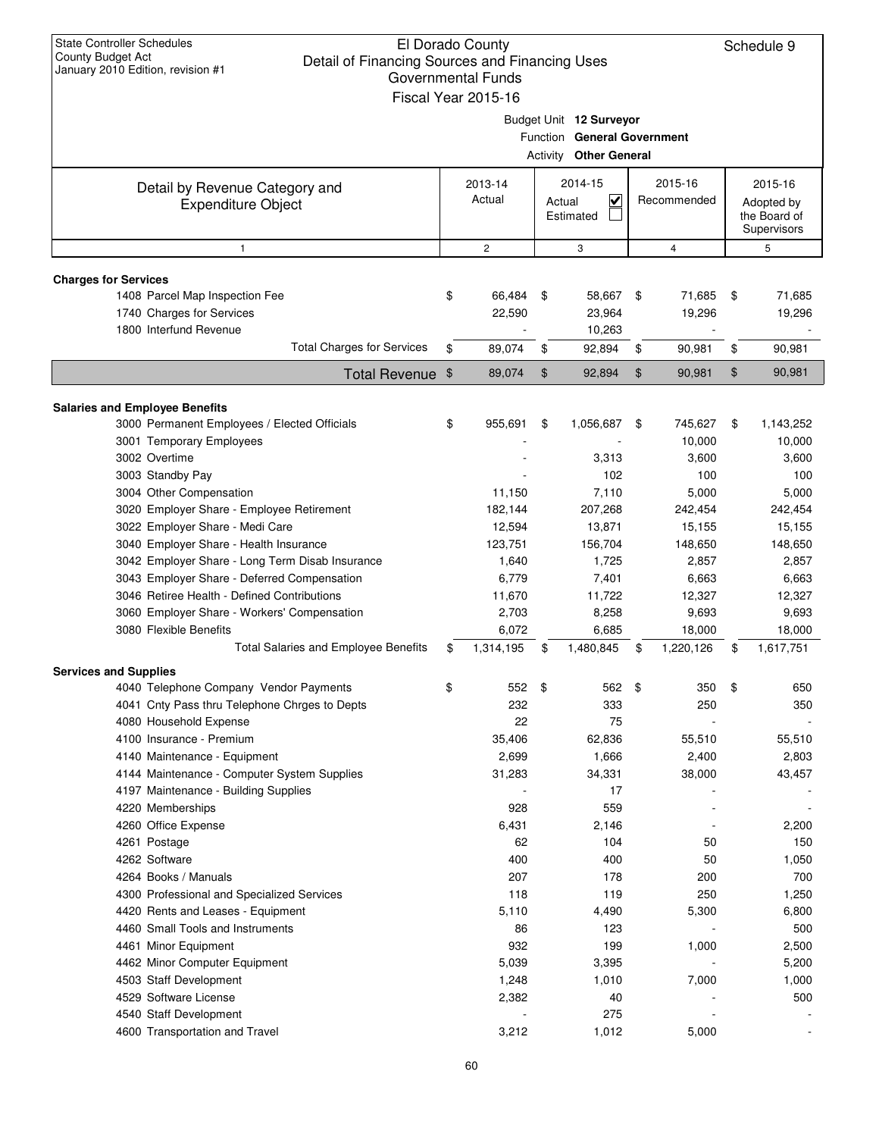| <b>State Controller Schedules</b><br>El Dorado County<br>Schedule 9<br>County Budget Act<br>Detail of Financing Sources and Financing Uses<br>January 2010 Edition, revision #1<br><b>Governmental Funds</b><br>Fiscal Year 2015-16 |    |                   |                |                                                                                         |     |                        |    |                                                      |  |
|-------------------------------------------------------------------------------------------------------------------------------------------------------------------------------------------------------------------------------------|----|-------------------|----------------|-----------------------------------------------------------------------------------------|-----|------------------------|----|------------------------------------------------------|--|
|                                                                                                                                                                                                                                     |    |                   |                | Budget Unit 12 Surveyor<br>Function General Government<br><b>Activity Other General</b> |     |                        |    |                                                      |  |
| Detail by Revenue Category and<br><b>Expenditure Object</b>                                                                                                                                                                         |    | 2013-14<br>Actual |                | 2014-15<br>$\checkmark$<br>Actual<br>Estimated                                          |     | 2015-16<br>Recommended |    | 2015-16<br>Adopted by<br>the Board of<br>Supervisors |  |
| $\mathbf{1}$                                                                                                                                                                                                                        |    | $\mathbf{2}$      |                | 3                                                                                       |     | $\overline{4}$         |    | 5                                                    |  |
| <b>Charges for Services</b>                                                                                                                                                                                                         |    |                   |                |                                                                                         |     |                        |    |                                                      |  |
| 1408 Parcel Map Inspection Fee                                                                                                                                                                                                      | \$ | 66,484            | \$             | 58,667                                                                                  | -\$ | 71,685                 | \$ | 71,685                                               |  |
| 1740 Charges for Services                                                                                                                                                                                                           |    | 22,590            |                | 23,964                                                                                  |     | 19,296                 |    | 19,296                                               |  |
| 1800 Interfund Revenue                                                                                                                                                                                                              |    |                   |                | 10,263                                                                                  |     |                        |    |                                                      |  |
| <b>Total Charges for Services</b>                                                                                                                                                                                                   | \$ | 89,074            | \$             | 92,894                                                                                  | \$  | 90,981                 | \$ | 90,981                                               |  |
| <b>Total Revenue</b>                                                                                                                                                                                                                | \$ | 89,074            | $\mathfrak{F}$ | 92,894                                                                                  | \$  | 90,981                 | \$ | 90,981                                               |  |
|                                                                                                                                                                                                                                     |    |                   |                |                                                                                         |     |                        |    |                                                      |  |
| <b>Salaries and Employee Benefits</b><br>3000 Permanent Employees / Elected Officials                                                                                                                                               | \$ | 955,691           | \$             | 1,056,687                                                                               | -\$ | 745,627                | \$ | 1,143,252                                            |  |
| 3001 Temporary Employees                                                                                                                                                                                                            |    |                   |                |                                                                                         |     | 10,000                 |    | 10,000                                               |  |
| 3002 Overtime                                                                                                                                                                                                                       |    |                   |                | 3,313                                                                                   |     | 3,600                  |    | 3,600                                                |  |
| 3003 Standby Pay                                                                                                                                                                                                                    |    |                   |                | 102                                                                                     |     | 100                    |    | 100                                                  |  |
| 3004 Other Compensation                                                                                                                                                                                                             |    | 11,150            |                | 7,110                                                                                   |     | 5,000                  |    | 5,000                                                |  |
| 3020 Employer Share - Employee Retirement                                                                                                                                                                                           |    | 182,144           |                | 207,268                                                                                 |     | 242,454                |    | 242,454                                              |  |
| 3022 Employer Share - Medi Care                                                                                                                                                                                                     |    | 12,594            |                | 13,871                                                                                  |     | 15,155                 |    | 15,155                                               |  |
| 3040 Employer Share - Health Insurance                                                                                                                                                                                              |    | 123,751           |                | 156,704                                                                                 |     | 148,650                |    | 148,650                                              |  |
| 3042 Employer Share - Long Term Disab Insurance                                                                                                                                                                                     |    | 1,640             |                | 1,725                                                                                   |     | 2,857                  |    | 2,857                                                |  |
| 3043 Employer Share - Deferred Compensation                                                                                                                                                                                         |    | 6,779             |                | 7,401                                                                                   |     | 6,663                  |    | 6,663                                                |  |
| 3046 Retiree Health - Defined Contributions                                                                                                                                                                                         |    | 11,670            |                | 11,722                                                                                  |     | 12,327                 |    | 12,327                                               |  |
| 3060 Employer Share - Workers' Compensation                                                                                                                                                                                         |    | 2,703             |                | 8,258                                                                                   |     | 9,693                  |    | 9,693                                                |  |
| 3080 Flexible Benefits                                                                                                                                                                                                              |    | 6,072             |                | 6,685                                                                                   |     | 18,000                 |    | 18,000                                               |  |
| <b>Total Salaries and Employee Benefits</b>                                                                                                                                                                                         | \$ | 1,314,195         | \$             | 1,480,845                                                                               | \$  | 1,220,126              | \$ | 1,617,751                                            |  |
| <b>Services and Supplies</b>                                                                                                                                                                                                        |    |                   |                |                                                                                         |     |                        |    |                                                      |  |
| 4040 Telephone Company Vendor Payments                                                                                                                                                                                              | \$ | 552               | \$             | 562                                                                                     | \$  | 350                    | \$ | 650                                                  |  |
| 4041 Cnty Pass thru Telephone Chrges to Depts                                                                                                                                                                                       |    | 232               |                | 333                                                                                     |     | 250                    |    | 350                                                  |  |
| 4080 Household Expense                                                                                                                                                                                                              |    | 22                |                | 75                                                                                      |     |                        |    |                                                      |  |
| 4100 Insurance - Premium                                                                                                                                                                                                            |    | 35,406            |                | 62,836                                                                                  |     | 55,510                 |    | 55,510                                               |  |
| 4140 Maintenance - Equipment                                                                                                                                                                                                        |    | 2,699             |                | 1,666                                                                                   |     | 2,400                  |    | 2,803                                                |  |
| 4144 Maintenance - Computer System Supplies                                                                                                                                                                                         |    | 31,283            |                | 34,331                                                                                  |     | 38,000                 |    | 43,457                                               |  |
| 4197 Maintenance - Building Supplies                                                                                                                                                                                                |    |                   |                | 17                                                                                      |     |                        |    |                                                      |  |
| 4220 Memberships                                                                                                                                                                                                                    |    | 928               |                | 559                                                                                     |     |                        |    |                                                      |  |
| 4260 Office Expense                                                                                                                                                                                                                 |    | 6,431             |                | 2,146                                                                                   |     |                        |    | 2,200                                                |  |
| 4261 Postage                                                                                                                                                                                                                        |    | 62                |                | 104                                                                                     |     | 50                     |    | 150                                                  |  |
| 4262 Software                                                                                                                                                                                                                       |    | 400               |                | 400                                                                                     |     | 50                     |    | 1,050                                                |  |
| 4264 Books / Manuals                                                                                                                                                                                                                |    | 207<br>118        |                | 178<br>119                                                                              |     | 200<br>250             |    | 700                                                  |  |
| 4300 Professional and Specialized Services<br>4420 Rents and Leases - Equipment                                                                                                                                                     |    | 5,110             |                | 4,490                                                                                   |     | 5,300                  |    | 1,250<br>6,800                                       |  |
|                                                                                                                                                                                                                                     |    |                   |                |                                                                                         |     |                        |    |                                                      |  |
|                                                                                                                                                                                                                                     |    |                   |                |                                                                                         |     |                        |    |                                                      |  |
| 4460 Small Tools and Instruments                                                                                                                                                                                                    |    | 86                |                | 123                                                                                     |     |                        |    | 500                                                  |  |
| 4461 Minor Equipment                                                                                                                                                                                                                |    | 932               |                | 199                                                                                     |     | 1,000                  |    | 2,500                                                |  |
| 4462 Minor Computer Equipment                                                                                                                                                                                                       |    | 5,039             |                | 3,395                                                                                   |     |                        |    | 5,200                                                |  |
| 4503 Staff Development<br>4529 Software License                                                                                                                                                                                     |    | 1,248             |                | 1,010                                                                                   |     | 7,000                  |    | 1,000                                                |  |
| 4540 Staff Development                                                                                                                                                                                                              |    | 2,382             |                | 40<br>275                                                                               |     |                        |    | 500                                                  |  |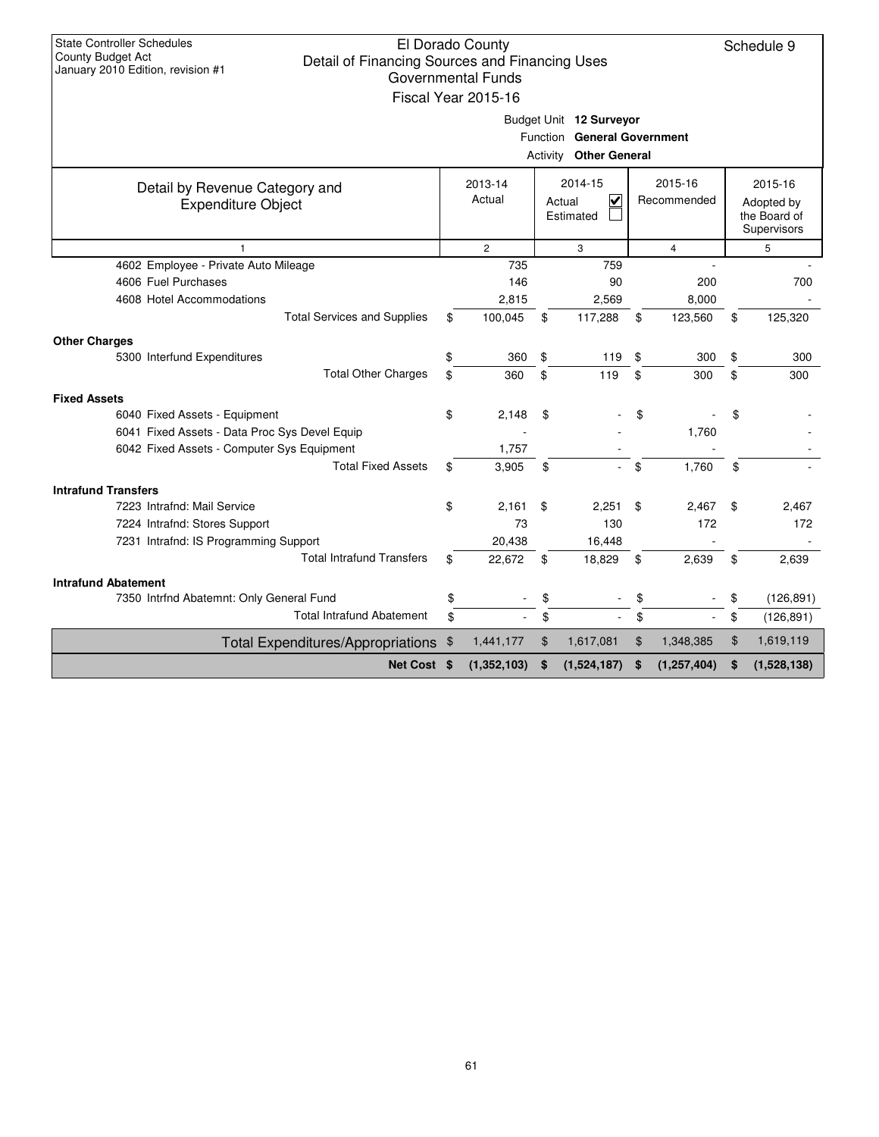| <b>State Controller Schedules</b><br>County Budget Act<br>Detail of Financing Sources and Financing Uses | El Dorado County          |                               |                     | Schedule 9        |
|----------------------------------------------------------------------------------------------------------|---------------------------|-------------------------------|---------------------|-------------------|
| January 2010 Edition, revision #1                                                                        | <b>Governmental Funds</b> |                               |                     |                   |
|                                                                                                          | Fiscal Year 2015-16       |                               |                     |                   |
|                                                                                                          |                           |                               |                     |                   |
|                                                                                                          |                           | Budget Unit 12 Surveyor       |                     |                   |
|                                                                                                          |                           | Function General Government   |                     |                   |
|                                                                                                          |                           | <b>Activity Other General</b> |                     |                   |
| Detail by Revenue Category and                                                                           | 2013-14                   | 2014-15                       | 2015-16             | 2015-16           |
| <b>Expenditure Object</b>                                                                                | Actual                    | V<br>Actual                   | Recommended         | Adopted by        |
|                                                                                                          |                           | Estimated                     |                     | the Board of      |
|                                                                                                          |                           |                               |                     | Supervisors       |
| 1                                                                                                        | $\overline{2}$            | 3                             | $\overline{4}$      | 5                 |
| 4602 Employee - Private Auto Mileage                                                                     | 735                       | 759                           |                     |                   |
| 4606 Fuel Purchases                                                                                      | 146                       | 90                            | 200                 | 700               |
| 4608 Hotel Accommodations                                                                                | 2,815                     | 2,569                         | 8,000               |                   |
| <b>Total Services and Supplies</b>                                                                       | \$<br>100,045             | \$<br>117,288                 | \$<br>123,560       | \$<br>125,320     |
| <b>Other Charges</b>                                                                                     |                           |                               |                     |                   |
| 5300 Interfund Expenditures                                                                              | \$<br>360                 | \$<br>119                     | \$<br>300           | \$<br>300         |
| <b>Total Other Charges</b>                                                                               | \$<br>360                 | \$<br>119                     | \$<br>300           | \$<br>300         |
| <b>Fixed Assets</b>                                                                                      |                           |                               |                     |                   |
| 6040 Fixed Assets - Equipment                                                                            | \$<br>2,148               | \$                            | \$                  | \$                |
| 6041 Fixed Assets - Data Proc Sys Devel Equip                                                            |                           |                               | 1,760               |                   |
| 6042 Fixed Assets - Computer Sys Equipment                                                               | 1,757                     |                               |                     |                   |
| <b>Total Fixed Assets</b>                                                                                | \$<br>3,905               | \$                            | \$<br>1.760         | \$                |
| <b>Intrafund Transfers</b>                                                                               |                           |                               |                     |                   |
| 7223 Intrafnd: Mail Service                                                                              | \$<br>2.161               | \$<br>2,251                   | \$<br>2,467         | \$<br>2,467       |
| 7224 Intrafnd: Stores Support                                                                            | 73                        | 130                           | 172                 | 172               |
| 7231 Intrafnd: IS Programming Support                                                                    | 20,438                    | 16,448                        |                     |                   |
| <b>Total Intrafund Transfers</b>                                                                         | \$<br>22,672              | \$<br>18,829                  | \$<br>2,639         | \$<br>2,639       |
| <b>Intrafund Abatement</b>                                                                               |                           |                               |                     |                   |
| 7350 Intrfnd Abatemnt: Only General Fund                                                                 | \$                        | \$                            | \$                  | \$<br>(126, 891)  |
| <b>Total Intrafund Abatement</b>                                                                         | \$                        | \$                            | \$                  | \$<br>(126, 891)  |
| Total Expenditures/Appropriations \$                                                                     | 1,441,177                 | \$<br>1,617,081               | \$<br>1,348,385     | \$<br>1,619,119   |
| Net Cost \$                                                                                              | (1,352,103)               | \$<br>(1,524,187)             | \$<br>(1, 257, 404) | \$<br>(1,528,138) |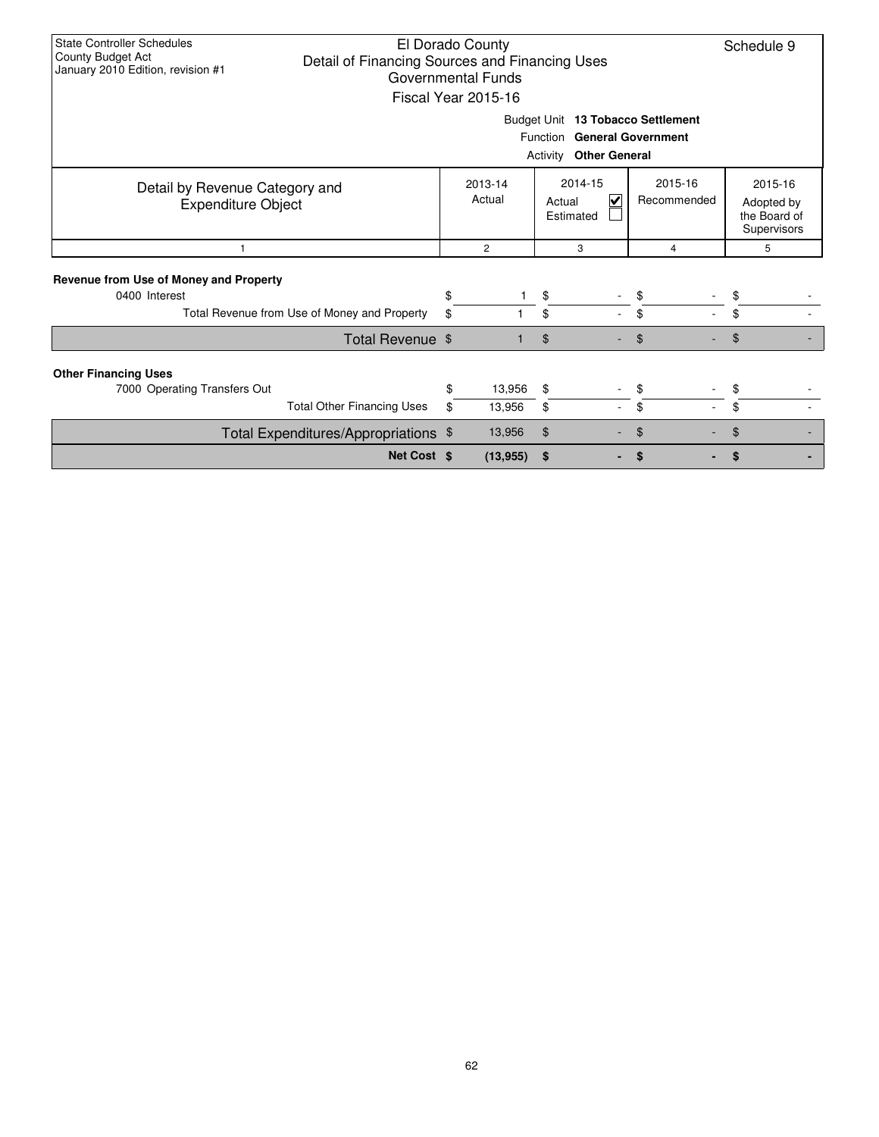| <b>State Controller Schedules</b><br>County Budget Act<br>January 2010 Edition, revision #1      | El Dorado County<br>Schedule 9<br>Detail of Financing Sources and Financing Uses<br><b>Governmental Funds</b><br>Fiscal Year 2015-16<br>Budget Unit 13 Tobacco Settlement<br>Function General Government<br>Activity<br><b>Other General</b> |                              |                                     |                        |                                                      |  |  |
|--------------------------------------------------------------------------------------------------|----------------------------------------------------------------------------------------------------------------------------------------------------------------------------------------------------------------------------------------------|------------------------------|-------------------------------------|------------------------|------------------------------------------------------|--|--|
| Detail by Revenue Category and<br><b>Expenditure Object</b>                                      |                                                                                                                                                                                                                                              | 2013-14<br>Actual            | 2014-15<br>V<br>Actual<br>Estimated | 2015-16<br>Recommended | 2015-16<br>Adopted by<br>the Board of<br>Supervisors |  |  |
| 1                                                                                                |                                                                                                                                                                                                                                              | $\overline{2}$               | 3                                   | $\overline{4}$         | 5                                                    |  |  |
| Revenue from Use of Money and Property<br>0400 Interest                                          |                                                                                                                                                                                                                                              | \$                           | \$                                  | \$                     | \$                                                   |  |  |
| Total Revenue from Use of Money and Property                                                     |                                                                                                                                                                                                                                              | \$                           | \$<br>$\sim$                        | \$                     | \$                                                   |  |  |
|                                                                                                  | Total Revenue \$                                                                                                                                                                                                                             |                              | \$                                  | \$                     | \$                                                   |  |  |
| <b>Other Financing Uses</b><br>7000 Operating Transfers Out<br><b>Total Other Financing Uses</b> |                                                                                                                                                                                                                                              | 13,956<br>\$<br>\$<br>13,956 | \$<br>\$                            | \$<br>\$               | \$<br>\$                                             |  |  |
| Total Expenditures/Appropriations \$                                                             |                                                                                                                                                                                                                                              | 13,956                       | \$                                  | \$                     | \$                                                   |  |  |
|                                                                                                  | Net Cost \$                                                                                                                                                                                                                                  | (13, 955)                    | \$                                  | \$                     | S                                                    |  |  |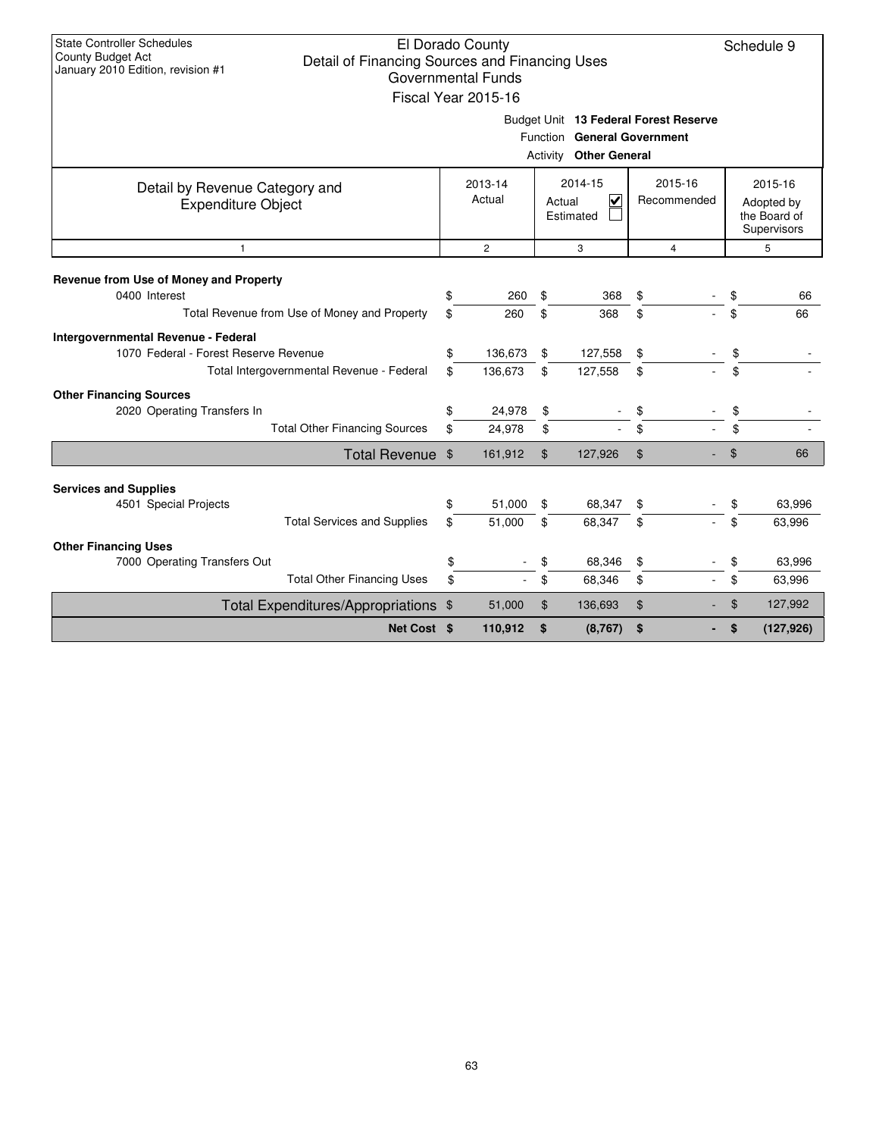| <b>State Controller Schedules</b><br>El Dorado County<br>Schedule 9<br><b>County Budget Act</b><br>Detail of Financing Sources and Financing Uses<br>January 2010 Edition, revision #1<br><b>Governmental Funds</b><br>Fiscal Year 2015-16<br>Budget Unit 13 Federal Forest Reserve |                                                              |    |                                                                     |          |          |                |                                                      |            |  |
|-------------------------------------------------------------------------------------------------------------------------------------------------------------------------------------------------------------------------------------------------------------------------------------|--------------------------------------------------------------|----|---------------------------------------------------------------------|----------|----------|----------------|------------------------------------------------------|------------|--|
|                                                                                                                                                                                                                                                                                     | Function General Government<br><b>Activity Other General</b> |    |                                                                     |          |          |                |                                                      |            |  |
| Detail by Revenue Category and<br><b>Expenditure Object</b>                                                                                                                                                                                                                         |                                                              |    | 2015-16<br>2013-14<br>2014-15<br>Actual<br>⊽<br>Actual<br>Estimated |          |          | Recommended    | 2015-16<br>Adopted by<br>the Board of<br>Supervisors |            |  |
| $\mathbf{1}$                                                                                                                                                                                                                                                                        |                                                              |    | $\overline{c}$                                                      |          | 3        | $\overline{4}$ |                                                      | 5          |  |
| Revenue from Use of Money and Property                                                                                                                                                                                                                                              |                                                              |    |                                                                     |          |          |                |                                                      |            |  |
| 0400 Interest                                                                                                                                                                                                                                                                       |                                                              | \$ | 260                                                                 | \$       | 368      | \$             | \$                                                   | 66         |  |
| Total Revenue from Use of Money and Property                                                                                                                                                                                                                                        |                                                              | \$ | 260                                                                 | \$       | 368      | \$             | \$                                                   | 66         |  |
| Intergovernmental Revenue - Federal                                                                                                                                                                                                                                                 |                                                              |    |                                                                     |          |          |                |                                                      |            |  |
| 1070 Federal - Forest Reserve Revenue                                                                                                                                                                                                                                               |                                                              | \$ | 136,673                                                             | \$       | 127,558  | \$             | \$                                                   |            |  |
|                                                                                                                                                                                                                                                                                     | Total Intergovernmental Revenue - Federal                    | \$ | 136,673                                                             | \$       | 127,558  | \$             | \$                                                   |            |  |
| <b>Other Financing Sources</b>                                                                                                                                                                                                                                                      |                                                              |    |                                                                     |          |          |                |                                                      |            |  |
| 2020 Operating Transfers In                                                                                                                                                                                                                                                         |                                                              | \$ | 24,978                                                              | \$       |          | \$             | \$                                                   |            |  |
|                                                                                                                                                                                                                                                                                     | <b>Total Other Financing Sources</b>                         | \$ | 24,978                                                              | \$       |          | \$             | \$                                                   |            |  |
|                                                                                                                                                                                                                                                                                     | Total Revenue \$                                             |    | 161,912                                                             | \$       | 127,926  | \$             | \$                                                   | 66         |  |
|                                                                                                                                                                                                                                                                                     |                                                              |    |                                                                     |          |          |                |                                                      |            |  |
| <b>Services and Supplies</b><br>4501 Special Projects                                                                                                                                                                                                                               |                                                              | \$ | 51,000                                                              | \$       | 68,347   | \$             | \$                                                   | 63,996     |  |
|                                                                                                                                                                                                                                                                                     | <b>Total Services and Supplies</b>                           | \$ | 51,000                                                              | \$       | 68,347   | \$             | \$                                                   | 63,996     |  |
|                                                                                                                                                                                                                                                                                     |                                                              |    |                                                                     |          |          |                |                                                      |            |  |
| <b>Other Financing Uses</b><br>7000 Operating Transfers Out                                                                                                                                                                                                                         |                                                              | \$ |                                                                     |          | 68,346   | \$             | \$                                                   | 63,996     |  |
| <b>Total Other Financing Uses</b>                                                                                                                                                                                                                                                   |                                                              |    |                                                                     | \$<br>\$ | 68,346   | \$             | \$                                                   | 63,996     |  |
|                                                                                                                                                                                                                                                                                     |                                                              |    |                                                                     |          |          |                |                                                      |            |  |
| Total Expenditures/Appropriations \$                                                                                                                                                                                                                                                |                                                              |    | 51,000                                                              | \$       | 136,693  | \$             | \$                                                   | 127,992    |  |
|                                                                                                                                                                                                                                                                                     | Net Cost \$                                                  |    | 110,912                                                             | \$       | (8, 767) | \$             | \$                                                   | (127, 926) |  |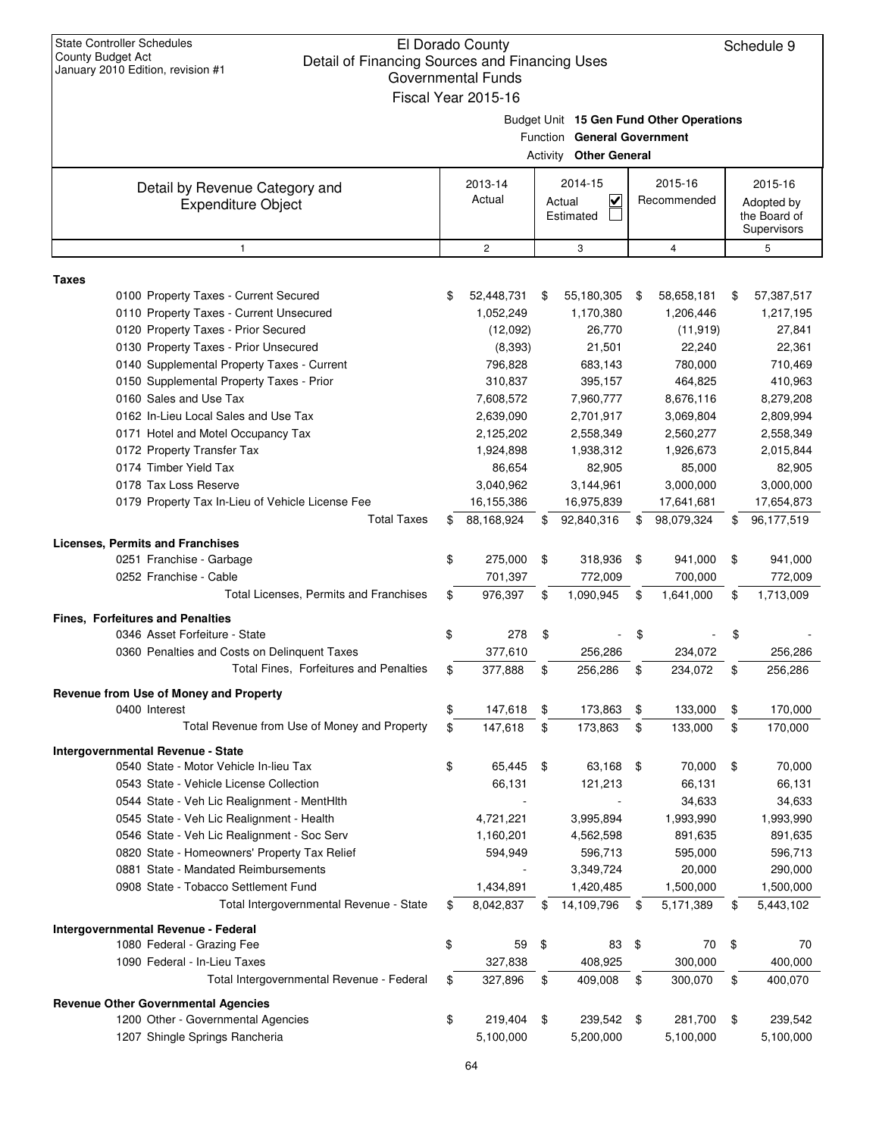| Budget Unit 15 Gen Fund Other Operations<br>Function General Government<br><b>Activity Other General</b><br>2015-16<br>2014-15<br>2015-16<br>2013-14<br>Detail by Revenue Category and<br>$\overline{\mathbf{v}}$<br>Actual<br>Recommended<br>Actual<br>Adopted by<br><b>Expenditure Object</b><br>the Board of<br>Estimated<br>Supervisors<br>$\overline{c}$<br>3<br>$\overline{4}$<br>5<br>$\mathbf{1}$<br><b>Taxes</b><br>0100 Property Taxes - Current Secured<br>52,448,731<br>55,180,305<br>58,658,181<br>57,387,517<br>\$<br>\$<br>\$<br>\$<br>0110 Property Taxes - Current Unsecured<br>1,052,249<br>1,170,380<br>1,206,446<br>1,217,195<br>0120 Property Taxes - Prior Secured<br>26,770<br>(12,092)<br>(11, 919)<br>27,841<br>0130 Property Taxes - Prior Unsecured<br>(8, 393)<br>21,501<br>22,240<br>22,361<br>0140 Supplemental Property Taxes - Current<br>796,828<br>683,143<br>780,000<br>710,469<br>0150 Supplemental Property Taxes - Prior<br>310,837<br>395,157<br>464,825<br>410,963<br>0160 Sales and Use Tax<br>7,608,572<br>7,960,777<br>8,676,116<br>8,279,208<br>0162 In-Lieu Local Sales and Use Tax<br>2,639,090<br>2,701,917<br>3,069,804<br>2,809,994<br>0171 Hotel and Motel Occupancy Tax<br>2,125,202<br>2,558,349<br>2,560,277<br>2,558,349<br>0172 Property Transfer Tax<br>1,924,898<br>1,938,312<br>1,926,673<br>2,015,844<br>0174 Timber Yield Tax<br>86,654<br>82,905<br>85,000<br>82,905<br>0178 Tax Loss Reserve<br>3,040,962<br>3,144,961<br>3,000,000<br>3,000,000<br>0179 Property Tax In-Lieu of Vehicle License Fee<br>16,155,386<br>17,654,873<br>16,975,839<br>17,641,681<br><b>Total Taxes</b><br>88,168,924<br>92,840,316<br>98,079,324<br>96,177,519<br>\$<br>\$<br>\$<br>\$<br>0251 Franchise - Garbage<br>275,000<br>318,936<br>941,000<br>\$<br>\$<br>\$<br>\$<br>941,000<br>0252 Franchise - Cable<br>701,397<br>772,009<br>700,000<br>772,009<br>Total Licenses, Permits and Franchises<br>976,397<br>\$<br>\$<br>1,090,945<br>1,641,000<br>\$<br>1,713,009<br>\$<br>0346 Asset Forfeiture - State<br>\$<br>278<br>\$<br>\$<br>\$<br>0360 Penalties and Costs on Delinguent Taxes<br>377,610<br>256,286<br>234,072<br>256,286<br>Total Fines, Forfeitures and Penalties<br>377,888<br>256,286<br>234,072<br>256,286<br>\$<br>\$<br>\$<br>Ψ<br>Revenue from Use of Money and Property<br>0400 Interest<br>\$<br>147,618<br>173,863<br>\$<br>133,000<br>\$<br>170,000<br>\$<br>Total Revenue from Use of Money and Property<br>\$<br>\$<br>173,863<br>\$<br>\$<br>147,618<br>133,000<br>170,000<br>Intergovernmental Revenue - State<br>0540 State - Motor Vehicle In-lieu Tax<br>\$<br>65,445<br>\$<br>63,168<br>\$<br>70,000<br>\$<br>70,000<br>66,131<br>0543 State - Vehicle License Collection<br>66,131<br>121,213<br>66,131<br>0544 State - Veh Lic Realignment - MentHith<br>34,633<br>34,633<br>0545 State - Veh Lic Realignment - Health<br>4,721,221<br>3,995,894<br>1,993,990<br>1,993,990<br>0546 State - Veh Lic Realignment - Soc Serv<br>1,160,201<br>4,562,598<br>891,635<br>891,635<br>0820 State - Homeowners' Property Tax Relief<br>596,713<br>594,949<br>595,000<br>596,713<br>0881 State - Mandated Reimbursements<br>20,000<br>290,000<br>3,349,724<br>0908 State - Tobacco Settlement Fund<br>1,434,891<br>1,420,485<br>1,500,000<br>1,500,000<br>Total Intergovernmental Revenue - State<br>8,042,837<br>14,109,796<br>5,171,389<br>\$<br>\$<br>5,443,102<br>\$<br>\$<br>\$<br>\$<br>1080 Federal - Grazing Fee<br>59<br>83<br>\$<br>70<br>\$<br>70<br>1090 Federal - In-Lieu Taxes<br>327,838<br>408,925<br>300,000<br>400,000<br>Total Intergovernmental Revenue - Federal<br>409,008<br>327,896<br>300,070<br>400,070<br>\$<br>\$<br>\$<br>\$<br>1200 Other - Governmental Agencies<br>\$<br>219,404<br>\$<br>239,542<br>\$<br>281,700<br>\$<br>239,542<br>1207 Shingle Springs Rancheria<br>5,100,000<br>5,200,000<br>5,100,000<br>5,100,000 | <b>State Controller Schedules</b><br>El Dorado County<br>Schedule 9<br><b>County Budget Act</b><br>Detail of Financing Sources and Financing Uses<br>January 2010 Edition, revision #1<br><b>Governmental Funds</b><br>Fiscal Year 2015-16 |  |  |  |  |  |  |  |  |  |  |
|-----------------------------------------------------------------------------------------------------------------------------------------------------------------------------------------------------------------------------------------------------------------------------------------------------------------------------------------------------------------------------------------------------------------------------------------------------------------------------------------------------------------------------------------------------------------------------------------------------------------------------------------------------------------------------------------------------------------------------------------------------------------------------------------------------------------------------------------------------------------------------------------------------------------------------------------------------------------------------------------------------------------------------------------------------------------------------------------------------------------------------------------------------------------------------------------------------------------------------------------------------------------------------------------------------------------------------------------------------------------------------------------------------------------------------------------------------------------------------------------------------------------------------------------------------------------------------------------------------------------------------------------------------------------------------------------------------------------------------------------------------------------------------------------------------------------------------------------------------------------------------------------------------------------------------------------------------------------------------------------------------------------------------------------------------------------------------------------------------------------------------------------------------------------------------------------------------------------------------------------------------------------------------------------------------------------------------------------------------------------------------------------------------------------------------------------------------------------------------------------------------------------------------------------------------------------------------------------------------------------------------------------------------------------------------------------------------------------------------------------------------------------------------------------------------------------------------------------------------------------------------------------------------------------------------------------------------------------------------------------------------------------------------------------------------------------------------------------------------------------------------------------------------------------------------------------------------------------------------------------------------------------------------------------------------------------------------------------------------------------------------------------------------------------------------------------------------------------------------------------------------------------------------------------------------------------------------------------------------------------------------------------------------------------------------------------------------------------------------------------------------------------------------------------------------------------------------------------------------------------------------------------------------------------------------------|--------------------------------------------------------------------------------------------------------------------------------------------------------------------------------------------------------------------------------------------|--|--|--|--|--|--|--|--|--|--|
|                                                                                                                                                                                                                                                                                                                                                                                                                                                                                                                                                                                                                                                                                                                                                                                                                                                                                                                                                                                                                                                                                                                                                                                                                                                                                                                                                                                                                                                                                                                                                                                                                                                                                                                                                                                                                                                                                                                                                                                                                                                                                                                                                                                                                                                                                                                                                                                                                                                                                                                                                                                                                                                                                                                                                                                                                                                                                                                                                                                                                                                                                                                                                                                                                                                                                                                                                                                                                                                                                                                                                                                                                                                                                                                                                                                                                                                                                                                                   |                                                                                                                                                                                                                                            |  |  |  |  |  |  |  |  |  |  |
|                                                                                                                                                                                                                                                                                                                                                                                                                                                                                                                                                                                                                                                                                                                                                                                                                                                                                                                                                                                                                                                                                                                                                                                                                                                                                                                                                                                                                                                                                                                                                                                                                                                                                                                                                                                                                                                                                                                                                                                                                                                                                                                                                                                                                                                                                                                                                                                                                                                                                                                                                                                                                                                                                                                                                                                                                                                                                                                                                                                                                                                                                                                                                                                                                                                                                                                                                                                                                                                                                                                                                                                                                                                                                                                                                                                                                                                                                                                                   |                                                                                                                                                                                                                                            |  |  |  |  |  |  |  |  |  |  |
|                                                                                                                                                                                                                                                                                                                                                                                                                                                                                                                                                                                                                                                                                                                                                                                                                                                                                                                                                                                                                                                                                                                                                                                                                                                                                                                                                                                                                                                                                                                                                                                                                                                                                                                                                                                                                                                                                                                                                                                                                                                                                                                                                                                                                                                                                                                                                                                                                                                                                                                                                                                                                                                                                                                                                                                                                                                                                                                                                                                                                                                                                                                                                                                                                                                                                                                                                                                                                                                                                                                                                                                                                                                                                                                                                                                                                                                                                                                                   |                                                                                                                                                                                                                                            |  |  |  |  |  |  |  |  |  |  |
|                                                                                                                                                                                                                                                                                                                                                                                                                                                                                                                                                                                                                                                                                                                                                                                                                                                                                                                                                                                                                                                                                                                                                                                                                                                                                                                                                                                                                                                                                                                                                                                                                                                                                                                                                                                                                                                                                                                                                                                                                                                                                                                                                                                                                                                                                                                                                                                                                                                                                                                                                                                                                                                                                                                                                                                                                                                                                                                                                                                                                                                                                                                                                                                                                                                                                                                                                                                                                                                                                                                                                                                                                                                                                                                                                                                                                                                                                                                                   |                                                                                                                                                                                                                                            |  |  |  |  |  |  |  |  |  |  |
|                                                                                                                                                                                                                                                                                                                                                                                                                                                                                                                                                                                                                                                                                                                                                                                                                                                                                                                                                                                                                                                                                                                                                                                                                                                                                                                                                                                                                                                                                                                                                                                                                                                                                                                                                                                                                                                                                                                                                                                                                                                                                                                                                                                                                                                                                                                                                                                                                                                                                                                                                                                                                                                                                                                                                                                                                                                                                                                                                                                                                                                                                                                                                                                                                                                                                                                                                                                                                                                                                                                                                                                                                                                                                                                                                                                                                                                                                                                                   |                                                                                                                                                                                                                                            |  |  |  |  |  |  |  |  |  |  |
|                                                                                                                                                                                                                                                                                                                                                                                                                                                                                                                                                                                                                                                                                                                                                                                                                                                                                                                                                                                                                                                                                                                                                                                                                                                                                                                                                                                                                                                                                                                                                                                                                                                                                                                                                                                                                                                                                                                                                                                                                                                                                                                                                                                                                                                                                                                                                                                                                                                                                                                                                                                                                                                                                                                                                                                                                                                                                                                                                                                                                                                                                                                                                                                                                                                                                                                                                                                                                                                                                                                                                                                                                                                                                                                                                                                                                                                                                                                                   |                                                                                                                                                                                                                                            |  |  |  |  |  |  |  |  |  |  |
|                                                                                                                                                                                                                                                                                                                                                                                                                                                                                                                                                                                                                                                                                                                                                                                                                                                                                                                                                                                                                                                                                                                                                                                                                                                                                                                                                                                                                                                                                                                                                                                                                                                                                                                                                                                                                                                                                                                                                                                                                                                                                                                                                                                                                                                                                                                                                                                                                                                                                                                                                                                                                                                                                                                                                                                                                                                                                                                                                                                                                                                                                                                                                                                                                                                                                                                                                                                                                                                                                                                                                                                                                                                                                                                                                                                                                                                                                                                                   |                                                                                                                                                                                                                                            |  |  |  |  |  |  |  |  |  |  |
|                                                                                                                                                                                                                                                                                                                                                                                                                                                                                                                                                                                                                                                                                                                                                                                                                                                                                                                                                                                                                                                                                                                                                                                                                                                                                                                                                                                                                                                                                                                                                                                                                                                                                                                                                                                                                                                                                                                                                                                                                                                                                                                                                                                                                                                                                                                                                                                                                                                                                                                                                                                                                                                                                                                                                                                                                                                                                                                                                                                                                                                                                                                                                                                                                                                                                                                                                                                                                                                                                                                                                                                                                                                                                                                                                                                                                                                                                                                                   |                                                                                                                                                                                                                                            |  |  |  |  |  |  |  |  |  |  |
|                                                                                                                                                                                                                                                                                                                                                                                                                                                                                                                                                                                                                                                                                                                                                                                                                                                                                                                                                                                                                                                                                                                                                                                                                                                                                                                                                                                                                                                                                                                                                                                                                                                                                                                                                                                                                                                                                                                                                                                                                                                                                                                                                                                                                                                                                                                                                                                                                                                                                                                                                                                                                                                                                                                                                                                                                                                                                                                                                                                                                                                                                                                                                                                                                                                                                                                                                                                                                                                                                                                                                                                                                                                                                                                                                                                                                                                                                                                                   |                                                                                                                                                                                                                                            |  |  |  |  |  |  |  |  |  |  |
|                                                                                                                                                                                                                                                                                                                                                                                                                                                                                                                                                                                                                                                                                                                                                                                                                                                                                                                                                                                                                                                                                                                                                                                                                                                                                                                                                                                                                                                                                                                                                                                                                                                                                                                                                                                                                                                                                                                                                                                                                                                                                                                                                                                                                                                                                                                                                                                                                                                                                                                                                                                                                                                                                                                                                                                                                                                                                                                                                                                                                                                                                                                                                                                                                                                                                                                                                                                                                                                                                                                                                                                                                                                                                                                                                                                                                                                                                                                                   |                                                                                                                                                                                                                                            |  |  |  |  |  |  |  |  |  |  |
|                                                                                                                                                                                                                                                                                                                                                                                                                                                                                                                                                                                                                                                                                                                                                                                                                                                                                                                                                                                                                                                                                                                                                                                                                                                                                                                                                                                                                                                                                                                                                                                                                                                                                                                                                                                                                                                                                                                                                                                                                                                                                                                                                                                                                                                                                                                                                                                                                                                                                                                                                                                                                                                                                                                                                                                                                                                                                                                                                                                                                                                                                                                                                                                                                                                                                                                                                                                                                                                                                                                                                                                                                                                                                                                                                                                                                                                                                                                                   |                                                                                                                                                                                                                                            |  |  |  |  |  |  |  |  |  |  |
|                                                                                                                                                                                                                                                                                                                                                                                                                                                                                                                                                                                                                                                                                                                                                                                                                                                                                                                                                                                                                                                                                                                                                                                                                                                                                                                                                                                                                                                                                                                                                                                                                                                                                                                                                                                                                                                                                                                                                                                                                                                                                                                                                                                                                                                                                                                                                                                                                                                                                                                                                                                                                                                                                                                                                                                                                                                                                                                                                                                                                                                                                                                                                                                                                                                                                                                                                                                                                                                                                                                                                                                                                                                                                                                                                                                                                                                                                                                                   |                                                                                                                                                                                                                                            |  |  |  |  |  |  |  |  |  |  |
|                                                                                                                                                                                                                                                                                                                                                                                                                                                                                                                                                                                                                                                                                                                                                                                                                                                                                                                                                                                                                                                                                                                                                                                                                                                                                                                                                                                                                                                                                                                                                                                                                                                                                                                                                                                                                                                                                                                                                                                                                                                                                                                                                                                                                                                                                                                                                                                                                                                                                                                                                                                                                                                                                                                                                                                                                                                                                                                                                                                                                                                                                                                                                                                                                                                                                                                                                                                                                                                                                                                                                                                                                                                                                                                                                                                                                                                                                                                                   |                                                                                                                                                                                                                                            |  |  |  |  |  |  |  |  |  |  |
|                                                                                                                                                                                                                                                                                                                                                                                                                                                                                                                                                                                                                                                                                                                                                                                                                                                                                                                                                                                                                                                                                                                                                                                                                                                                                                                                                                                                                                                                                                                                                                                                                                                                                                                                                                                                                                                                                                                                                                                                                                                                                                                                                                                                                                                                                                                                                                                                                                                                                                                                                                                                                                                                                                                                                                                                                                                                                                                                                                                                                                                                                                                                                                                                                                                                                                                                                                                                                                                                                                                                                                                                                                                                                                                                                                                                                                                                                                                                   |                                                                                                                                                                                                                                            |  |  |  |  |  |  |  |  |  |  |
|                                                                                                                                                                                                                                                                                                                                                                                                                                                                                                                                                                                                                                                                                                                                                                                                                                                                                                                                                                                                                                                                                                                                                                                                                                                                                                                                                                                                                                                                                                                                                                                                                                                                                                                                                                                                                                                                                                                                                                                                                                                                                                                                                                                                                                                                                                                                                                                                                                                                                                                                                                                                                                                                                                                                                                                                                                                                                                                                                                                                                                                                                                                                                                                                                                                                                                                                                                                                                                                                                                                                                                                                                                                                                                                                                                                                                                                                                                                                   |                                                                                                                                                                                                                                            |  |  |  |  |  |  |  |  |  |  |
|                                                                                                                                                                                                                                                                                                                                                                                                                                                                                                                                                                                                                                                                                                                                                                                                                                                                                                                                                                                                                                                                                                                                                                                                                                                                                                                                                                                                                                                                                                                                                                                                                                                                                                                                                                                                                                                                                                                                                                                                                                                                                                                                                                                                                                                                                                                                                                                                                                                                                                                                                                                                                                                                                                                                                                                                                                                                                                                                                                                                                                                                                                                                                                                                                                                                                                                                                                                                                                                                                                                                                                                                                                                                                                                                                                                                                                                                                                                                   |                                                                                                                                                                                                                                            |  |  |  |  |  |  |  |  |  |  |
|                                                                                                                                                                                                                                                                                                                                                                                                                                                                                                                                                                                                                                                                                                                                                                                                                                                                                                                                                                                                                                                                                                                                                                                                                                                                                                                                                                                                                                                                                                                                                                                                                                                                                                                                                                                                                                                                                                                                                                                                                                                                                                                                                                                                                                                                                                                                                                                                                                                                                                                                                                                                                                                                                                                                                                                                                                                                                                                                                                                                                                                                                                                                                                                                                                                                                                                                                                                                                                                                                                                                                                                                                                                                                                                                                                                                                                                                                                                                   |                                                                                                                                                                                                                                            |  |  |  |  |  |  |  |  |  |  |
|                                                                                                                                                                                                                                                                                                                                                                                                                                                                                                                                                                                                                                                                                                                                                                                                                                                                                                                                                                                                                                                                                                                                                                                                                                                                                                                                                                                                                                                                                                                                                                                                                                                                                                                                                                                                                                                                                                                                                                                                                                                                                                                                                                                                                                                                                                                                                                                                                                                                                                                                                                                                                                                                                                                                                                                                                                                                                                                                                                                                                                                                                                                                                                                                                                                                                                                                                                                                                                                                                                                                                                                                                                                                                                                                                                                                                                                                                                                                   |                                                                                                                                                                                                                                            |  |  |  |  |  |  |  |  |  |  |
|                                                                                                                                                                                                                                                                                                                                                                                                                                                                                                                                                                                                                                                                                                                                                                                                                                                                                                                                                                                                                                                                                                                                                                                                                                                                                                                                                                                                                                                                                                                                                                                                                                                                                                                                                                                                                                                                                                                                                                                                                                                                                                                                                                                                                                                                                                                                                                                                                                                                                                                                                                                                                                                                                                                                                                                                                                                                                                                                                                                                                                                                                                                                                                                                                                                                                                                                                                                                                                                                                                                                                                                                                                                                                                                                                                                                                                                                                                                                   |                                                                                                                                                                                                                                            |  |  |  |  |  |  |  |  |  |  |
|                                                                                                                                                                                                                                                                                                                                                                                                                                                                                                                                                                                                                                                                                                                                                                                                                                                                                                                                                                                                                                                                                                                                                                                                                                                                                                                                                                                                                                                                                                                                                                                                                                                                                                                                                                                                                                                                                                                                                                                                                                                                                                                                                                                                                                                                                                                                                                                                                                                                                                                                                                                                                                                                                                                                                                                                                                                                                                                                                                                                                                                                                                                                                                                                                                                                                                                                                                                                                                                                                                                                                                                                                                                                                                                                                                                                                                                                                                                                   | <b>Licenses, Permits and Franchises</b>                                                                                                                                                                                                    |  |  |  |  |  |  |  |  |  |  |
|                                                                                                                                                                                                                                                                                                                                                                                                                                                                                                                                                                                                                                                                                                                                                                                                                                                                                                                                                                                                                                                                                                                                                                                                                                                                                                                                                                                                                                                                                                                                                                                                                                                                                                                                                                                                                                                                                                                                                                                                                                                                                                                                                                                                                                                                                                                                                                                                                                                                                                                                                                                                                                                                                                                                                                                                                                                                                                                                                                                                                                                                                                                                                                                                                                                                                                                                                                                                                                                                                                                                                                                                                                                                                                                                                                                                                                                                                                                                   |                                                                                                                                                                                                                                            |  |  |  |  |  |  |  |  |  |  |
|                                                                                                                                                                                                                                                                                                                                                                                                                                                                                                                                                                                                                                                                                                                                                                                                                                                                                                                                                                                                                                                                                                                                                                                                                                                                                                                                                                                                                                                                                                                                                                                                                                                                                                                                                                                                                                                                                                                                                                                                                                                                                                                                                                                                                                                                                                                                                                                                                                                                                                                                                                                                                                                                                                                                                                                                                                                                                                                                                                                                                                                                                                                                                                                                                                                                                                                                                                                                                                                                                                                                                                                                                                                                                                                                                                                                                                                                                                                                   |                                                                                                                                                                                                                                            |  |  |  |  |  |  |  |  |  |  |
|                                                                                                                                                                                                                                                                                                                                                                                                                                                                                                                                                                                                                                                                                                                                                                                                                                                                                                                                                                                                                                                                                                                                                                                                                                                                                                                                                                                                                                                                                                                                                                                                                                                                                                                                                                                                                                                                                                                                                                                                                                                                                                                                                                                                                                                                                                                                                                                                                                                                                                                                                                                                                                                                                                                                                                                                                                                                                                                                                                                                                                                                                                                                                                                                                                                                                                                                                                                                                                                                                                                                                                                                                                                                                                                                                                                                                                                                                                                                   |                                                                                                                                                                                                                                            |  |  |  |  |  |  |  |  |  |  |
|                                                                                                                                                                                                                                                                                                                                                                                                                                                                                                                                                                                                                                                                                                                                                                                                                                                                                                                                                                                                                                                                                                                                                                                                                                                                                                                                                                                                                                                                                                                                                                                                                                                                                                                                                                                                                                                                                                                                                                                                                                                                                                                                                                                                                                                                                                                                                                                                                                                                                                                                                                                                                                                                                                                                                                                                                                                                                                                                                                                                                                                                                                                                                                                                                                                                                                                                                                                                                                                                                                                                                                                                                                                                                                                                                                                                                                                                                                                                   | <b>Fines, Forfeitures and Penalties</b>                                                                                                                                                                                                    |  |  |  |  |  |  |  |  |  |  |
|                                                                                                                                                                                                                                                                                                                                                                                                                                                                                                                                                                                                                                                                                                                                                                                                                                                                                                                                                                                                                                                                                                                                                                                                                                                                                                                                                                                                                                                                                                                                                                                                                                                                                                                                                                                                                                                                                                                                                                                                                                                                                                                                                                                                                                                                                                                                                                                                                                                                                                                                                                                                                                                                                                                                                                                                                                                                                                                                                                                                                                                                                                                                                                                                                                                                                                                                                                                                                                                                                                                                                                                                                                                                                                                                                                                                                                                                                                                                   |                                                                                                                                                                                                                                            |  |  |  |  |  |  |  |  |  |  |
|                                                                                                                                                                                                                                                                                                                                                                                                                                                                                                                                                                                                                                                                                                                                                                                                                                                                                                                                                                                                                                                                                                                                                                                                                                                                                                                                                                                                                                                                                                                                                                                                                                                                                                                                                                                                                                                                                                                                                                                                                                                                                                                                                                                                                                                                                                                                                                                                                                                                                                                                                                                                                                                                                                                                                                                                                                                                                                                                                                                                                                                                                                                                                                                                                                                                                                                                                                                                                                                                                                                                                                                                                                                                                                                                                                                                                                                                                                                                   |                                                                                                                                                                                                                                            |  |  |  |  |  |  |  |  |  |  |
|                                                                                                                                                                                                                                                                                                                                                                                                                                                                                                                                                                                                                                                                                                                                                                                                                                                                                                                                                                                                                                                                                                                                                                                                                                                                                                                                                                                                                                                                                                                                                                                                                                                                                                                                                                                                                                                                                                                                                                                                                                                                                                                                                                                                                                                                                                                                                                                                                                                                                                                                                                                                                                                                                                                                                                                                                                                                                                                                                                                                                                                                                                                                                                                                                                                                                                                                                                                                                                                                                                                                                                                                                                                                                                                                                                                                                                                                                                                                   |                                                                                                                                                                                                                                            |  |  |  |  |  |  |  |  |  |  |
|                                                                                                                                                                                                                                                                                                                                                                                                                                                                                                                                                                                                                                                                                                                                                                                                                                                                                                                                                                                                                                                                                                                                                                                                                                                                                                                                                                                                                                                                                                                                                                                                                                                                                                                                                                                                                                                                                                                                                                                                                                                                                                                                                                                                                                                                                                                                                                                                                                                                                                                                                                                                                                                                                                                                                                                                                                                                                                                                                                                                                                                                                                                                                                                                                                                                                                                                                                                                                                                                                                                                                                                                                                                                                                                                                                                                                                                                                                                                   |                                                                                                                                                                                                                                            |  |  |  |  |  |  |  |  |  |  |
|                                                                                                                                                                                                                                                                                                                                                                                                                                                                                                                                                                                                                                                                                                                                                                                                                                                                                                                                                                                                                                                                                                                                                                                                                                                                                                                                                                                                                                                                                                                                                                                                                                                                                                                                                                                                                                                                                                                                                                                                                                                                                                                                                                                                                                                                                                                                                                                                                                                                                                                                                                                                                                                                                                                                                                                                                                                                                                                                                                                                                                                                                                                                                                                                                                                                                                                                                                                                                                                                                                                                                                                                                                                                                                                                                                                                                                                                                                                                   |                                                                                                                                                                                                                                            |  |  |  |  |  |  |  |  |  |  |
|                                                                                                                                                                                                                                                                                                                                                                                                                                                                                                                                                                                                                                                                                                                                                                                                                                                                                                                                                                                                                                                                                                                                                                                                                                                                                                                                                                                                                                                                                                                                                                                                                                                                                                                                                                                                                                                                                                                                                                                                                                                                                                                                                                                                                                                                                                                                                                                                                                                                                                                                                                                                                                                                                                                                                                                                                                                                                                                                                                                                                                                                                                                                                                                                                                                                                                                                                                                                                                                                                                                                                                                                                                                                                                                                                                                                                                                                                                                                   |                                                                                                                                                                                                                                            |  |  |  |  |  |  |  |  |  |  |
|                                                                                                                                                                                                                                                                                                                                                                                                                                                                                                                                                                                                                                                                                                                                                                                                                                                                                                                                                                                                                                                                                                                                                                                                                                                                                                                                                                                                                                                                                                                                                                                                                                                                                                                                                                                                                                                                                                                                                                                                                                                                                                                                                                                                                                                                                                                                                                                                                                                                                                                                                                                                                                                                                                                                                                                                                                                                                                                                                                                                                                                                                                                                                                                                                                                                                                                                                                                                                                                                                                                                                                                                                                                                                                                                                                                                                                                                                                                                   |                                                                                                                                                                                                                                            |  |  |  |  |  |  |  |  |  |  |
|                                                                                                                                                                                                                                                                                                                                                                                                                                                                                                                                                                                                                                                                                                                                                                                                                                                                                                                                                                                                                                                                                                                                                                                                                                                                                                                                                                                                                                                                                                                                                                                                                                                                                                                                                                                                                                                                                                                                                                                                                                                                                                                                                                                                                                                                                                                                                                                                                                                                                                                                                                                                                                                                                                                                                                                                                                                                                                                                                                                                                                                                                                                                                                                                                                                                                                                                                                                                                                                                                                                                                                                                                                                                                                                                                                                                                                                                                                                                   |                                                                                                                                                                                                                                            |  |  |  |  |  |  |  |  |  |  |
|                                                                                                                                                                                                                                                                                                                                                                                                                                                                                                                                                                                                                                                                                                                                                                                                                                                                                                                                                                                                                                                                                                                                                                                                                                                                                                                                                                                                                                                                                                                                                                                                                                                                                                                                                                                                                                                                                                                                                                                                                                                                                                                                                                                                                                                                                                                                                                                                                                                                                                                                                                                                                                                                                                                                                                                                                                                                                                                                                                                                                                                                                                                                                                                                                                                                                                                                                                                                                                                                                                                                                                                                                                                                                                                                                                                                                                                                                                                                   |                                                                                                                                                                                                                                            |  |  |  |  |  |  |  |  |  |  |
|                                                                                                                                                                                                                                                                                                                                                                                                                                                                                                                                                                                                                                                                                                                                                                                                                                                                                                                                                                                                                                                                                                                                                                                                                                                                                                                                                                                                                                                                                                                                                                                                                                                                                                                                                                                                                                                                                                                                                                                                                                                                                                                                                                                                                                                                                                                                                                                                                                                                                                                                                                                                                                                                                                                                                                                                                                                                                                                                                                                                                                                                                                                                                                                                                                                                                                                                                                                                                                                                                                                                                                                                                                                                                                                                                                                                                                                                                                                                   |                                                                                                                                                                                                                                            |  |  |  |  |  |  |  |  |  |  |
|                                                                                                                                                                                                                                                                                                                                                                                                                                                                                                                                                                                                                                                                                                                                                                                                                                                                                                                                                                                                                                                                                                                                                                                                                                                                                                                                                                                                                                                                                                                                                                                                                                                                                                                                                                                                                                                                                                                                                                                                                                                                                                                                                                                                                                                                                                                                                                                                                                                                                                                                                                                                                                                                                                                                                                                                                                                                                                                                                                                                                                                                                                                                                                                                                                                                                                                                                                                                                                                                                                                                                                                                                                                                                                                                                                                                                                                                                                                                   |                                                                                                                                                                                                                                            |  |  |  |  |  |  |  |  |  |  |
|                                                                                                                                                                                                                                                                                                                                                                                                                                                                                                                                                                                                                                                                                                                                                                                                                                                                                                                                                                                                                                                                                                                                                                                                                                                                                                                                                                                                                                                                                                                                                                                                                                                                                                                                                                                                                                                                                                                                                                                                                                                                                                                                                                                                                                                                                                                                                                                                                                                                                                                                                                                                                                                                                                                                                                                                                                                                                                                                                                                                                                                                                                                                                                                                                                                                                                                                                                                                                                                                                                                                                                                                                                                                                                                                                                                                                                                                                                                                   |                                                                                                                                                                                                                                            |  |  |  |  |  |  |  |  |  |  |
|                                                                                                                                                                                                                                                                                                                                                                                                                                                                                                                                                                                                                                                                                                                                                                                                                                                                                                                                                                                                                                                                                                                                                                                                                                                                                                                                                                                                                                                                                                                                                                                                                                                                                                                                                                                                                                                                                                                                                                                                                                                                                                                                                                                                                                                                                                                                                                                                                                                                                                                                                                                                                                                                                                                                                                                                                                                                                                                                                                                                                                                                                                                                                                                                                                                                                                                                                                                                                                                                                                                                                                                                                                                                                                                                                                                                                                                                                                                                   |                                                                                                                                                                                                                                            |  |  |  |  |  |  |  |  |  |  |
|                                                                                                                                                                                                                                                                                                                                                                                                                                                                                                                                                                                                                                                                                                                                                                                                                                                                                                                                                                                                                                                                                                                                                                                                                                                                                                                                                                                                                                                                                                                                                                                                                                                                                                                                                                                                                                                                                                                                                                                                                                                                                                                                                                                                                                                                                                                                                                                                                                                                                                                                                                                                                                                                                                                                                                                                                                                                                                                                                                                                                                                                                                                                                                                                                                                                                                                                                                                                                                                                                                                                                                                                                                                                                                                                                                                                                                                                                                                                   |                                                                                                                                                                                                                                            |  |  |  |  |  |  |  |  |  |  |
|                                                                                                                                                                                                                                                                                                                                                                                                                                                                                                                                                                                                                                                                                                                                                                                                                                                                                                                                                                                                                                                                                                                                                                                                                                                                                                                                                                                                                                                                                                                                                                                                                                                                                                                                                                                                                                                                                                                                                                                                                                                                                                                                                                                                                                                                                                                                                                                                                                                                                                                                                                                                                                                                                                                                                                                                                                                                                                                                                                                                                                                                                                                                                                                                                                                                                                                                                                                                                                                                                                                                                                                                                                                                                                                                                                                                                                                                                                                                   |                                                                                                                                                                                                                                            |  |  |  |  |  |  |  |  |  |  |
|                                                                                                                                                                                                                                                                                                                                                                                                                                                                                                                                                                                                                                                                                                                                                                                                                                                                                                                                                                                                                                                                                                                                                                                                                                                                                                                                                                                                                                                                                                                                                                                                                                                                                                                                                                                                                                                                                                                                                                                                                                                                                                                                                                                                                                                                                                                                                                                                                                                                                                                                                                                                                                                                                                                                                                                                                                                                                                                                                                                                                                                                                                                                                                                                                                                                                                                                                                                                                                                                                                                                                                                                                                                                                                                                                                                                                                                                                                                                   |                                                                                                                                                                                                                                            |  |  |  |  |  |  |  |  |  |  |
|                                                                                                                                                                                                                                                                                                                                                                                                                                                                                                                                                                                                                                                                                                                                                                                                                                                                                                                                                                                                                                                                                                                                                                                                                                                                                                                                                                                                                                                                                                                                                                                                                                                                                                                                                                                                                                                                                                                                                                                                                                                                                                                                                                                                                                                                                                                                                                                                                                                                                                                                                                                                                                                                                                                                                                                                                                                                                                                                                                                                                                                                                                                                                                                                                                                                                                                                                                                                                                                                                                                                                                                                                                                                                                                                                                                                                                                                                                                                   |                                                                                                                                                                                                                                            |  |  |  |  |  |  |  |  |  |  |
|                                                                                                                                                                                                                                                                                                                                                                                                                                                                                                                                                                                                                                                                                                                                                                                                                                                                                                                                                                                                                                                                                                                                                                                                                                                                                                                                                                                                                                                                                                                                                                                                                                                                                                                                                                                                                                                                                                                                                                                                                                                                                                                                                                                                                                                                                                                                                                                                                                                                                                                                                                                                                                                                                                                                                                                                                                                                                                                                                                                                                                                                                                                                                                                                                                                                                                                                                                                                                                                                                                                                                                                                                                                                                                                                                                                                                                                                                                                                   | Intergovernmental Revenue - Federal                                                                                                                                                                                                        |  |  |  |  |  |  |  |  |  |  |
|                                                                                                                                                                                                                                                                                                                                                                                                                                                                                                                                                                                                                                                                                                                                                                                                                                                                                                                                                                                                                                                                                                                                                                                                                                                                                                                                                                                                                                                                                                                                                                                                                                                                                                                                                                                                                                                                                                                                                                                                                                                                                                                                                                                                                                                                                                                                                                                                                                                                                                                                                                                                                                                                                                                                                                                                                                                                                                                                                                                                                                                                                                                                                                                                                                                                                                                                                                                                                                                                                                                                                                                                                                                                                                                                                                                                                                                                                                                                   |                                                                                                                                                                                                                                            |  |  |  |  |  |  |  |  |  |  |
|                                                                                                                                                                                                                                                                                                                                                                                                                                                                                                                                                                                                                                                                                                                                                                                                                                                                                                                                                                                                                                                                                                                                                                                                                                                                                                                                                                                                                                                                                                                                                                                                                                                                                                                                                                                                                                                                                                                                                                                                                                                                                                                                                                                                                                                                                                                                                                                                                                                                                                                                                                                                                                                                                                                                                                                                                                                                                                                                                                                                                                                                                                                                                                                                                                                                                                                                                                                                                                                                                                                                                                                                                                                                                                                                                                                                                                                                                                                                   |                                                                                                                                                                                                                                            |  |  |  |  |  |  |  |  |  |  |
|                                                                                                                                                                                                                                                                                                                                                                                                                                                                                                                                                                                                                                                                                                                                                                                                                                                                                                                                                                                                                                                                                                                                                                                                                                                                                                                                                                                                                                                                                                                                                                                                                                                                                                                                                                                                                                                                                                                                                                                                                                                                                                                                                                                                                                                                                                                                                                                                                                                                                                                                                                                                                                                                                                                                                                                                                                                                                                                                                                                                                                                                                                                                                                                                                                                                                                                                                                                                                                                                                                                                                                                                                                                                                                                                                                                                                                                                                                                                   |                                                                                                                                                                                                                                            |  |  |  |  |  |  |  |  |  |  |
|                                                                                                                                                                                                                                                                                                                                                                                                                                                                                                                                                                                                                                                                                                                                                                                                                                                                                                                                                                                                                                                                                                                                                                                                                                                                                                                                                                                                                                                                                                                                                                                                                                                                                                                                                                                                                                                                                                                                                                                                                                                                                                                                                                                                                                                                                                                                                                                                                                                                                                                                                                                                                                                                                                                                                                                                                                                                                                                                                                                                                                                                                                                                                                                                                                                                                                                                                                                                                                                                                                                                                                                                                                                                                                                                                                                                                                                                                                                                   | <b>Revenue Other Governmental Agencies</b>                                                                                                                                                                                                 |  |  |  |  |  |  |  |  |  |  |
|                                                                                                                                                                                                                                                                                                                                                                                                                                                                                                                                                                                                                                                                                                                                                                                                                                                                                                                                                                                                                                                                                                                                                                                                                                                                                                                                                                                                                                                                                                                                                                                                                                                                                                                                                                                                                                                                                                                                                                                                                                                                                                                                                                                                                                                                                                                                                                                                                                                                                                                                                                                                                                                                                                                                                                                                                                                                                                                                                                                                                                                                                                                                                                                                                                                                                                                                                                                                                                                                                                                                                                                                                                                                                                                                                                                                                                                                                                                                   |                                                                                                                                                                                                                                            |  |  |  |  |  |  |  |  |  |  |
|                                                                                                                                                                                                                                                                                                                                                                                                                                                                                                                                                                                                                                                                                                                                                                                                                                                                                                                                                                                                                                                                                                                                                                                                                                                                                                                                                                                                                                                                                                                                                                                                                                                                                                                                                                                                                                                                                                                                                                                                                                                                                                                                                                                                                                                                                                                                                                                                                                                                                                                                                                                                                                                                                                                                                                                                                                                                                                                                                                                                                                                                                                                                                                                                                                                                                                                                                                                                                                                                                                                                                                                                                                                                                                                                                                                                                                                                                                                                   |                                                                                                                                                                                                                                            |  |  |  |  |  |  |  |  |  |  |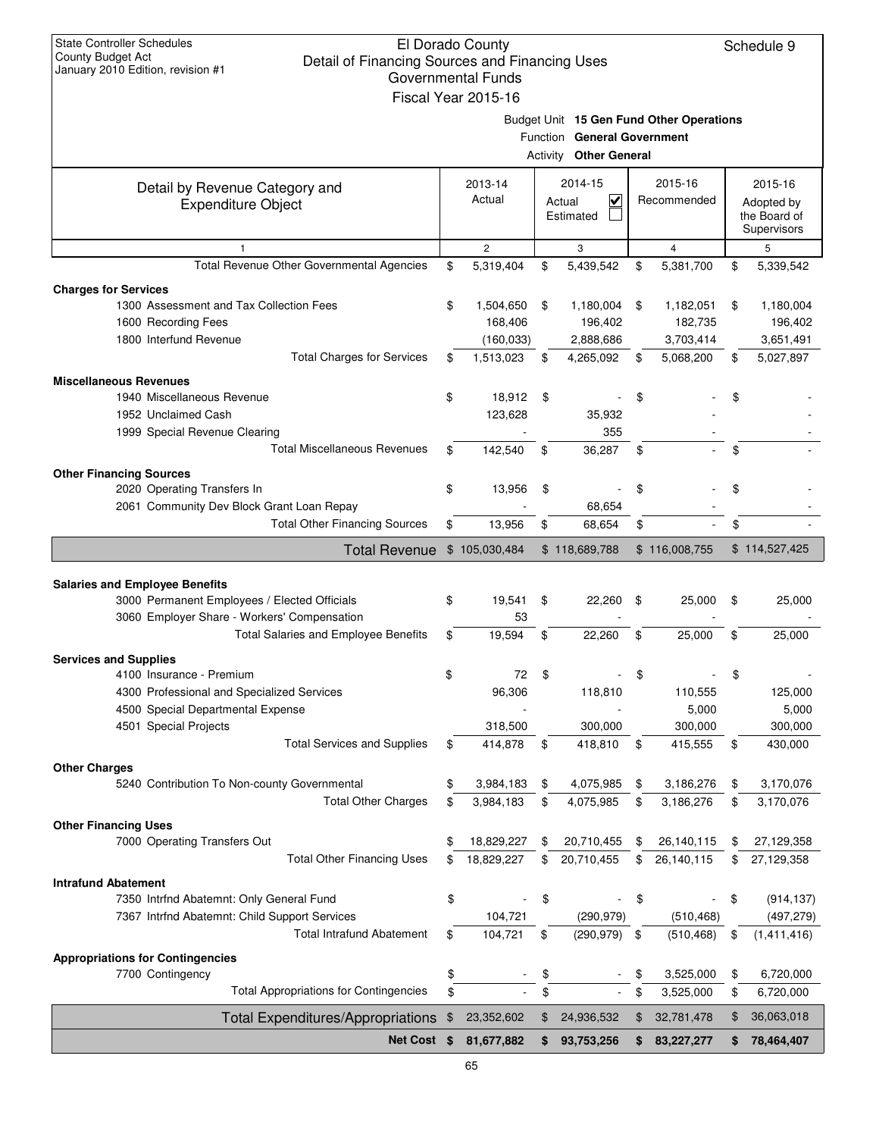| <b>State Controller Schedules</b><br>El Dorado County<br>County Budget Act<br>Detail of Financing Sources and Financing Uses<br>January 2010 Edition, revision #1<br>Governmental Funds<br>Fiscal Year 2015-16 |    |                   |          |                                                     |    |                                          |    |                                                      |  |
|----------------------------------------------------------------------------------------------------------------------------------------------------------------------------------------------------------------|----|-------------------|----------|-----------------------------------------------------|----|------------------------------------------|----|------------------------------------------------------|--|
|                                                                                                                                                                                                                |    |                   | Activity | Function General Government<br><b>Other General</b> |    | Budget Unit 15 Gen Fund Other Operations |    |                                                      |  |
| Detail by Revenue Category and<br><b>Expenditure Object</b>                                                                                                                                                    |    | 2013-14<br>Actual |          | 2014-15<br>⊽<br>Actual<br>Estimated                 |    | 2015-16<br>Recommended                   |    | 2015-16<br>Adopted by<br>the Board of<br>Supervisors |  |
|                                                                                                                                                                                                                |    | $\overline{c}$    |          | 3                                                   |    | $\overline{4}$                           |    | 5                                                    |  |
| Total Revenue Other Governmental Agencies                                                                                                                                                                      | \$ | 5,319,404         | \$       | 5,439,542                                           | \$ | 5,381,700                                | \$ | 5,339,542                                            |  |
| <b>Charges for Services</b>                                                                                                                                                                                    |    |                   |          |                                                     |    |                                          |    |                                                      |  |
| 1300 Assessment and Tax Collection Fees                                                                                                                                                                        | \$ | 1,504,650         | \$       | 1,180,004                                           | \$ | 1,182,051                                | \$ | 1,180,004                                            |  |
| 1600 Recording Fees                                                                                                                                                                                            |    | 168,406           |          | 196,402                                             |    | 182,735                                  |    | 196,402                                              |  |
| 1800 Interfund Revenue                                                                                                                                                                                         |    | (160, 033)        |          | 2,888,686                                           |    | 3,703,414                                |    | 3,651,491                                            |  |
| <b>Total Charges for Services</b>                                                                                                                                                                              | \$ | 1,513,023         | \$       | 4,265,092                                           | \$ | 5,068,200                                | \$ | 5,027,897                                            |  |
| <b>Miscellaneous Revenues</b>                                                                                                                                                                                  |    |                   |          |                                                     |    |                                          |    |                                                      |  |
| 1940 Miscellaneous Revenue                                                                                                                                                                                     | \$ | 18,912            | \$       |                                                     | \$ |                                          | \$ |                                                      |  |
| 1952 Unclaimed Cash                                                                                                                                                                                            |    | 123,628           |          | 35,932                                              |    |                                          |    |                                                      |  |
| 1999 Special Revenue Clearing                                                                                                                                                                                  |    |                   |          | 355                                                 |    |                                          |    |                                                      |  |
| <b>Total Miscellaneous Revenues</b>                                                                                                                                                                            | \$ | 142,540           | \$       | 36,287                                              | \$ |                                          | \$ |                                                      |  |
|                                                                                                                                                                                                                |    |                   |          |                                                     |    |                                          |    |                                                      |  |
| <b>Other Financing Sources</b><br>2020 Operating Transfers In                                                                                                                                                  | \$ | 13,956            | \$       |                                                     | \$ |                                          | \$ |                                                      |  |
| 2061 Community Dev Block Grant Loan Repay                                                                                                                                                                      |    |                   |          | 68,654                                              |    |                                          |    |                                                      |  |
| <b>Total Other Financing Sources</b>                                                                                                                                                                           | \$ | 13,956            | \$       | 68,654                                              | \$ |                                          | \$ |                                                      |  |
|                                                                                                                                                                                                                |    |                   |          |                                                     |    |                                          |    |                                                      |  |
| <b>Total Revenue</b>                                                                                                                                                                                           |    | \$105,030,484     |          | \$118,689,788                                       |    | \$116,008,755                            |    | \$114,527,425                                        |  |
|                                                                                                                                                                                                                |    |                   |          |                                                     |    |                                          |    |                                                      |  |
| <b>Salaries and Employee Benefits</b><br>3000 Permanent Employees / Elected Officials                                                                                                                          | \$ | 19,541            | \$       | 22,260                                              | \$ | 25,000                                   | \$ | 25,000                                               |  |
| 3060 Employer Share - Workers' Compensation                                                                                                                                                                    |    | 53                |          |                                                     |    |                                          |    |                                                      |  |
| <b>Total Salaries and Employee Benefits</b>                                                                                                                                                                    | \$ | 19,594            | \$       | 22,260                                              | \$ | 25,000                                   | \$ | 25,000                                               |  |
|                                                                                                                                                                                                                |    |                   |          |                                                     |    |                                          |    |                                                      |  |
| <b>Services and Supplies</b>                                                                                                                                                                                   |    |                   |          |                                                     |    |                                          |    |                                                      |  |
| 4100 Insurance - Premium                                                                                                                                                                                       | \$ | 72                | \$       |                                                     | \$ |                                          | \$ |                                                      |  |
| 4300 Professional and Specialized Services                                                                                                                                                                     |    | 96,306            |          | 118,810                                             |    | 110,555                                  |    | 125,000                                              |  |
| 4500 Special Departmental Expense                                                                                                                                                                              |    |                   |          |                                                     |    | 5,000                                    |    | 5,000                                                |  |
| 4501 Special Projects                                                                                                                                                                                          |    | 318,500           |          | 300,000                                             |    | 300,000                                  |    | 300,000                                              |  |
| <b>Total Services and Supplies</b>                                                                                                                                                                             | \$ | 414,878           | \$       | 418,810                                             | \$ | 415,555                                  | \$ | 430,000                                              |  |
| <b>Other Charges</b>                                                                                                                                                                                           |    |                   |          |                                                     |    |                                          |    |                                                      |  |
| 5240 Contribution To Non-county Governmental                                                                                                                                                                   | \$ | 3,984,183         | \$       | 4,075,985                                           | \$ | 3,186,276                                | \$ | 3,170,076                                            |  |
| <b>Total Other Charges</b>                                                                                                                                                                                     | \$ | 3,984,183         | \$       | 4,075,985                                           | \$ | 3,186,276                                | \$ | 3,170,076                                            |  |
| <b>Other Financing Uses</b>                                                                                                                                                                                    |    |                   |          |                                                     |    |                                          |    |                                                      |  |
| 7000 Operating Transfers Out                                                                                                                                                                                   | \$ | 18,829,227        | \$       | 20,710,455                                          | \$ | 26,140,115                               | \$ | 27,129,358                                           |  |
| <b>Total Other Financing Uses</b>                                                                                                                                                                              | \$ | 18,829,227        | \$       | 20,710,455                                          | \$ | 26,140,115                               | \$ | 27,129,358                                           |  |
| <b>Intrafund Abatement</b>                                                                                                                                                                                     |    |                   |          |                                                     |    |                                          |    |                                                      |  |
| 7350 Intrfnd Abatemnt: Only General Fund                                                                                                                                                                       | \$ |                   | \$       |                                                     | \$ |                                          | \$ | (914, 137)                                           |  |
| 7367 Intrfnd Abatemnt: Child Support Services                                                                                                                                                                  |    | 104,721           |          | (290, 979)                                          |    | (510, 468)                               |    | (497, 279)                                           |  |
| <b>Total Intrafund Abatement</b>                                                                                                                                                                               | \$ | 104,721           | \$       | (290, 979)                                          | \$ | (510, 468)                               | \$ | (1,411,416)                                          |  |
|                                                                                                                                                                                                                |    |                   |          |                                                     |    |                                          |    |                                                      |  |
| <b>Appropriations for Contingencies</b><br>7700 Contingency                                                                                                                                                    |    |                   | \$       |                                                     | \$ | 3,525,000                                | \$ | 6,720,000                                            |  |
| <b>Total Appropriations for Contingencies</b>                                                                                                                                                                  |    |                   | \$       |                                                     | \$ | 3,525,000                                | \$ | 6,720,000                                            |  |
|                                                                                                                                                                                                                | \$ |                   |          |                                                     |    |                                          |    |                                                      |  |
|                                                                                                                                                                                                                |    |                   |          |                                                     |    |                                          |    |                                                      |  |
| <b>Total Expenditures/Appropriations</b>                                                                                                                                                                       | \$ | 23,352,602        | \$       | 24,936,532                                          | \$ | 32,781,478                               | \$ | 36,063,018                                           |  |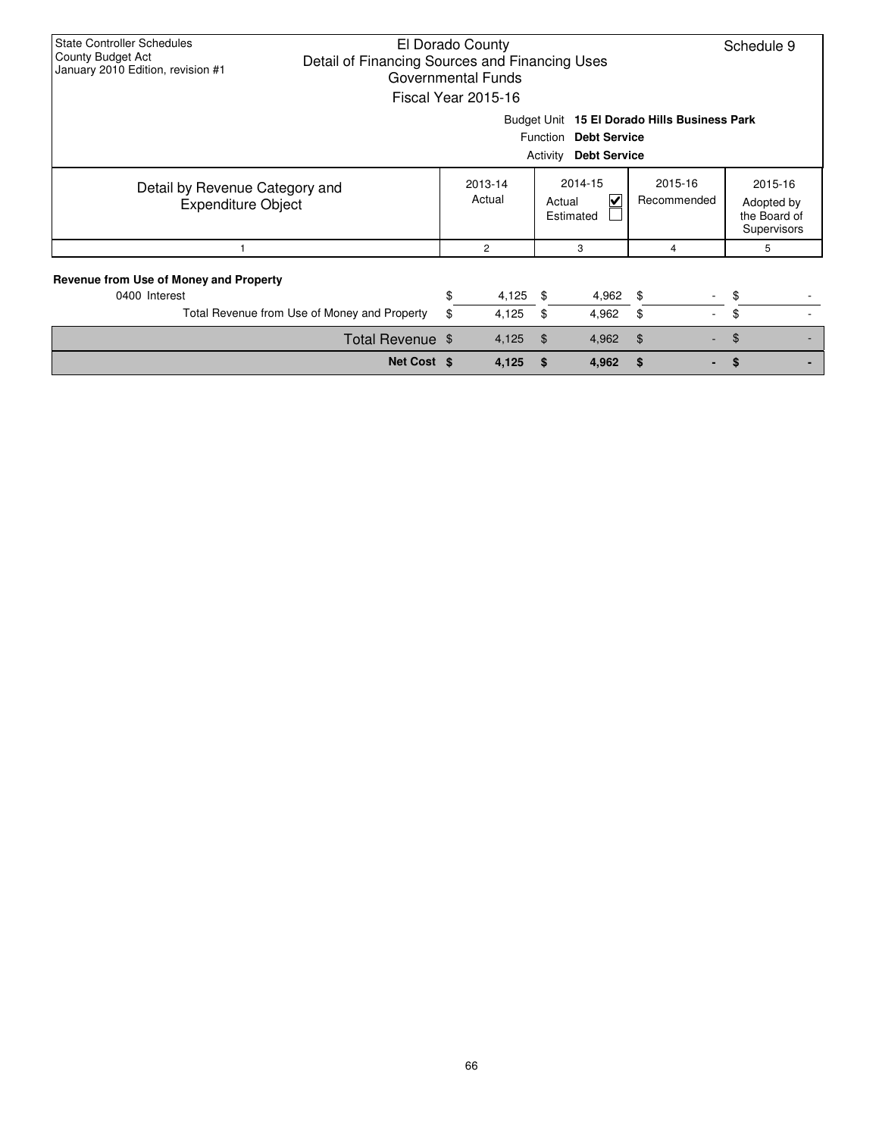| <b>State Controller Schedules</b><br>El Dorado County<br>County Budget Act<br>Detail of Financing Sources and Financing Uses<br>January 2010 Edition, revision #1<br>Governmental Funds<br>Fiscal Year 2015-16 |                                              |    |                   |                |                           |                                |                                                      |  |  |  |  |
|----------------------------------------------------------------------------------------------------------------------------------------------------------------------------------------------------------------|----------------------------------------------|----|-------------------|----------------|---------------------------|--------------------------------|------------------------------------------------------|--|--|--|--|
| Budget Unit 15 El Dorado Hills Business Park                                                                                                                                                                   |                                              |    |                   |                |                           |                                |                                                      |  |  |  |  |
| <b>Function</b><br><b>Debt Service</b>                                                                                                                                                                         |                                              |    |                   |                |                           |                                |                                                      |  |  |  |  |
|                                                                                                                                                                                                                | <b>Debt Service</b><br>Activity              |    |                   |                |                           |                                |                                                      |  |  |  |  |
| Detail by Revenue Category and<br><b>Expenditure Object</b>                                                                                                                                                    |                                              |    | 2013-14<br>Actual | Actual         | 2014-15<br>V<br>Estimated | 2015-16<br>Recommended         | 2015-16<br>Adopted by<br>the Board of<br>Supervisors |  |  |  |  |
|                                                                                                                                                                                                                |                                              |    | 2                 |                | 3                         | 4                              | 5                                                    |  |  |  |  |
| Revenue from Use of Money and Property<br>0400 Interest                                                                                                                                                        |                                              | \$ | 4,125             | \$             | $4,962$ \$                |                                | \$                                                   |  |  |  |  |
|                                                                                                                                                                                                                | Total Revenue from Use of Money and Property | \$ | 4,125             | \$             | 4,962                     | \$<br>$\overline{\phantom{a}}$ | \$                                                   |  |  |  |  |
|                                                                                                                                                                                                                | Total Revenue \$                             |    | 4,125             | $\mathfrak{F}$ | 4,962                     | \$                             | $\mathfrak{F}$                                       |  |  |  |  |
|                                                                                                                                                                                                                | Net Cost \$                                  |    | 4,125             | \$             | 4,962                     | \$                             | \$.                                                  |  |  |  |  |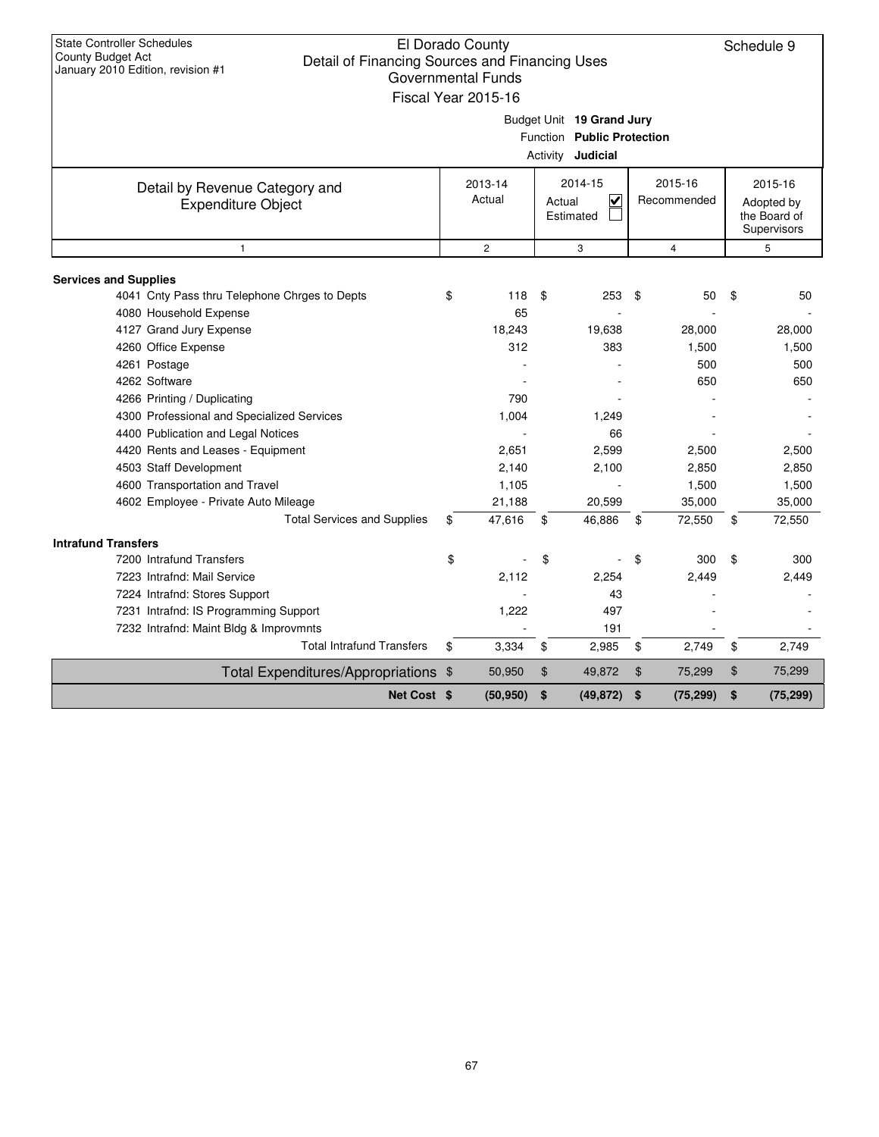| <b>State Controller Schedules</b><br>El Dorado County<br><b>County Budget Act</b><br>Detail of Financing Sources and Financing Uses<br>January 2010 Edition, revision #1<br><b>Governmental Funds</b><br>Fiscal Year 2015-16 |                                                                                     |                   |                                                           |       |                        |                                                      | Schedule 9 |  |
|------------------------------------------------------------------------------------------------------------------------------------------------------------------------------------------------------------------------------|-------------------------------------------------------------------------------------|-------------------|-----------------------------------------------------------|-------|------------------------|------------------------------------------------------|------------|--|
|                                                                                                                                                                                                                              | Budget Unit 19 Grand Jury<br>Function Public Protection<br>Activity <b>Judicial</b> |                   |                                                           |       |                        |                                                      |            |  |
| Detail by Revenue Category and<br><b>Expenditure Object</b>                                                                                                                                                                  |                                                                                     | 2013-14<br>Actual | 2014-15<br>$\overline{\mathsf{v}}$<br>Actual<br>Estimated |       | 2015-16<br>Recommended | 2015-16<br>Adopted by<br>the Board of<br>Supervisors |            |  |
| $\mathbf{1}$                                                                                                                                                                                                                 |                                                                                     | $\overline{c}$    | 3                                                         |       | $\overline{4}$         |                                                      | 5          |  |
|                                                                                                                                                                                                                              |                                                                                     |                   |                                                           |       |                        |                                                      |            |  |
| <b>Services and Supplies</b><br>4041 Cnty Pass thru Telephone Chrges to Depts                                                                                                                                                | \$                                                                                  | 118               | 253<br>\$                                                 | \$    | 50                     | \$                                                   | 50         |  |
| 4080 Household Expense                                                                                                                                                                                                       |                                                                                     | 65                |                                                           |       |                        |                                                      |            |  |
| 4127 Grand Jury Expense                                                                                                                                                                                                      |                                                                                     | 18,243            | 19,638                                                    |       | 28,000                 |                                                      | 28,000     |  |
| 4260 Office Expense                                                                                                                                                                                                          |                                                                                     | 312               | 383                                                       |       | 1,500                  |                                                      | 1,500      |  |
| 4261 Postage                                                                                                                                                                                                                 |                                                                                     |                   |                                                           |       | 500                    |                                                      | 500        |  |
| 4262 Software                                                                                                                                                                                                                |                                                                                     |                   |                                                           |       | 650                    |                                                      | 650        |  |
| 4266 Printing / Duplicating                                                                                                                                                                                                  |                                                                                     | 790               |                                                           |       |                        |                                                      |            |  |
| 4300 Professional and Specialized Services                                                                                                                                                                                   |                                                                                     | 1,004             | 1,249                                                     |       |                        |                                                      |            |  |
| 4400 Publication and Legal Notices                                                                                                                                                                                           |                                                                                     |                   | 66                                                        |       |                        |                                                      |            |  |
| 4420 Rents and Leases - Equipment                                                                                                                                                                                            |                                                                                     | 2,651             | 2,599                                                     |       | 2,500                  |                                                      | 2,500      |  |
| 4503 Staff Development                                                                                                                                                                                                       |                                                                                     | 2,140             | 2,100                                                     |       | 2,850                  |                                                      | 2,850      |  |
| 4600 Transportation and Travel                                                                                                                                                                                               |                                                                                     | 1,105             |                                                           |       | 1,500                  |                                                      | 1,500      |  |
| 4602 Employee - Private Auto Mileage                                                                                                                                                                                         |                                                                                     | 21,188            | 20,599                                                    |       | 35,000                 |                                                      | 35,000     |  |
| <b>Total Services and Supplies</b>                                                                                                                                                                                           | \$                                                                                  | 47,616            | 46,886<br>\$                                              | \$    | 72,550                 | \$                                                   | 72,550     |  |
| <b>Intrafund Transfers</b>                                                                                                                                                                                                   |                                                                                     |                   |                                                           |       |                        |                                                      |            |  |
| 7200 Intrafund Transfers                                                                                                                                                                                                     | \$                                                                                  |                   | \$                                                        | \$    | 300                    | \$                                                   | 300        |  |
| 7223 Intrafnd: Mail Service                                                                                                                                                                                                  |                                                                                     | 2,112             | 2,254                                                     |       | 2.449                  |                                                      | 2,449      |  |
| 7224 Intrafnd: Stores Support                                                                                                                                                                                                |                                                                                     |                   | 43                                                        |       |                        |                                                      |            |  |
| 7231 Intrafnd: IS Programming Support                                                                                                                                                                                        |                                                                                     | 1,222             | 497                                                       |       |                        |                                                      |            |  |
| 7232 Intrafnd: Maint Bldg & Improvmnts                                                                                                                                                                                       |                                                                                     |                   | 191                                                       |       |                        |                                                      |            |  |
| <b>Total Intrafund Transfers</b>                                                                                                                                                                                             | \$                                                                                  | 3,334             | \$<br>2,985                                               | \$    | 2,749                  | \$                                                   | 2,749      |  |
| Total Expenditures/Appropriations \$                                                                                                                                                                                         |                                                                                     | 50,950            | $\mathfrak{S}$<br>49,872                                  | $\$\$ | 75,299                 | \$                                                   | 75,299     |  |
| Net Cost \$                                                                                                                                                                                                                  |                                                                                     | (50, 950)         | \$<br>(49, 872)                                           | \$    | (75, 299)              | \$                                                   | (75, 299)  |  |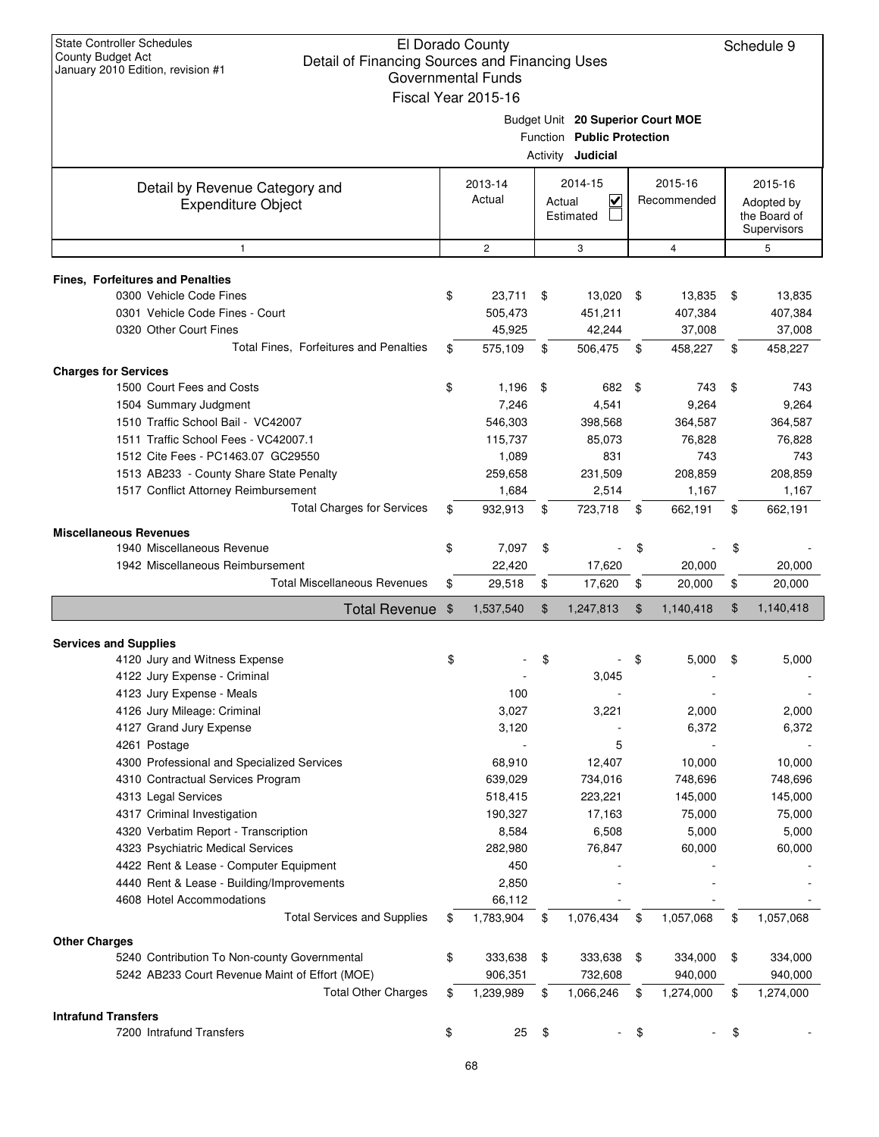| <b>State Controller Schedules</b><br>El Dorado County<br><b>County Budget Act</b><br>Detail of Financing Sources and Financing Uses<br>January 2010 Edition, revision #1<br><b>Governmental Funds</b><br>Fiscal Year 2015-16 |                                                                                             |                             |     |                                                |      | Schedule 9                  |    |                                                      |  |
|------------------------------------------------------------------------------------------------------------------------------------------------------------------------------------------------------------------------------|---------------------------------------------------------------------------------------------|-----------------------------|-----|------------------------------------------------|------|-----------------------------|----|------------------------------------------------------|--|
|                                                                                                                                                                                                                              | Budget Unit 20 Superior Court MOE<br>Function Public Protection<br>Activity <b>Judicial</b> |                             |     |                                                |      |                             |    |                                                      |  |
| Detail by Revenue Category and<br><b>Expenditure Object</b>                                                                                                                                                                  |                                                                                             | 2013-14<br>Actual           |     | 2014-15<br>$\checkmark$<br>Actual<br>Estimated |      | 2015-16<br>Recommended      |    | 2015-16<br>Adopted by<br>the Board of<br>Supervisors |  |
| $\mathbf{1}$                                                                                                                                                                                                                 |                                                                                             | $\mathbf{2}$                |     | 3                                              |      | 4                           | 5  |                                                      |  |
| <b>Fines, Forfeitures and Penalties</b><br>0300 Vehicle Code Fines<br>0301 Vehicle Code Fines - Court<br>0320 Other Court Fines                                                                                              | \$                                                                                          | 23,711<br>505,473<br>45,925 | -\$ | 13,020<br>451,211<br>42,244                    | - \$ | 13,835<br>407,384<br>37,008 | \$ | 13,835<br>407,384<br>37,008                          |  |
| Total Fines. Forfeitures and Penalties                                                                                                                                                                                       | \$                                                                                          | 575,109                     | \$  | 506,475                                        | \$   | 458,227                     | \$ | 458,227                                              |  |
| <b>Charges for Services</b><br>1500 Court Fees and Costs                                                                                                                                                                     | \$                                                                                          | 1,196                       | \$  | 682                                            | \$   | 743                         | \$ | 743                                                  |  |
| 1504 Summary Judgment<br>1510 Traffic School Bail - VC42007<br>1511 Traffic School Fees - VC42007.1                                                                                                                          |                                                                                             | 7,246<br>546,303<br>115,737 |     | 4,541<br>398.568<br>85,073                     |      | 9,264<br>364,587<br>76,828  |    | 9,264<br>364,587<br>76,828                           |  |
| 1512 Cite Fees - PC1463.07 GC29550<br>1513 AB233 - County Share State Penalty<br>1517 Conflict Attorney Reimbursement                                                                                                        |                                                                                             | 1,089<br>259,658<br>1,684   |     | 831<br>231,509<br>2,514                        |      | 743<br>208,859<br>1,167     |    | 743<br>208,859<br>1,167                              |  |
| <b>Total Charges for Services</b>                                                                                                                                                                                            | \$                                                                                          | 932,913                     | \$  | 723,718                                        | \$   | 662,191                     | \$ | 662,191                                              |  |
| <b>Miscellaneous Revenues</b>                                                                                                                                                                                                |                                                                                             |                             |     |                                                |      |                             |    |                                                      |  |
| 1940 Miscellaneous Revenue                                                                                                                                                                                                   | \$                                                                                          | 7,097                       | \$  |                                                | \$   |                             | \$ |                                                      |  |
| 1942 Miscellaneous Reimbursement                                                                                                                                                                                             |                                                                                             | 22,420                      |     | 17,620                                         |      | 20,000                      |    | 20,000                                               |  |
| <b>Total Miscellaneous Revenues</b>                                                                                                                                                                                          | \$                                                                                          | 29,518                      | \$  | 17,620                                         | \$   | 20,000                      | \$ | 20,000                                               |  |
| Total Revenue \$                                                                                                                                                                                                             |                                                                                             | 1,537,540                   | \$  | 1,247,813                                      | \$   | 1,140,418                   | \$ | 1,140,418                                            |  |
| <b>Services and Supplies</b>                                                                                                                                                                                                 |                                                                                             |                             |     |                                                |      |                             |    |                                                      |  |
| 4120 Jury and Witness Expense                                                                                                                                                                                                | \$                                                                                          |                             | \$  |                                                | \$   | 5,000                       | \$ | 5.000                                                |  |
| 4122 Jury Expense - Criminal                                                                                                                                                                                                 |                                                                                             |                             |     | 3,045                                          |      |                             |    |                                                      |  |
| 4123 Jury Expense - Meals                                                                                                                                                                                                    |                                                                                             | 100                         |     |                                                |      |                             |    |                                                      |  |
| 4126 Jury Mileage: Criminal                                                                                                                                                                                                  |                                                                                             | 3,027                       |     | 3,221                                          |      | 2,000                       |    | 2,000                                                |  |
| 4127 Grand Jury Expense                                                                                                                                                                                                      |                                                                                             | 3,120                       |     |                                                |      | 6,372                       |    | 6,372                                                |  |
| 4261 Postage                                                                                                                                                                                                                 |                                                                                             |                             |     | 5                                              |      |                             |    |                                                      |  |
| 4300 Professional and Specialized Services                                                                                                                                                                                   |                                                                                             | 68,910                      |     | 12,407                                         |      | 10,000                      |    | 10,000                                               |  |
| 4310 Contractual Services Program                                                                                                                                                                                            |                                                                                             | 639,029                     |     | 734,016                                        |      | 748,696                     |    | 748,696                                              |  |
| 4313 Legal Services                                                                                                                                                                                                          |                                                                                             | 518,415                     |     | 223,221                                        |      | 145,000                     |    | 145,000                                              |  |
| 4317 Criminal Investigation                                                                                                                                                                                                  |                                                                                             | 190,327                     |     | 17,163                                         |      | 75,000                      |    | 75,000                                               |  |
| 4320 Verbatim Report - Transcription                                                                                                                                                                                         |                                                                                             | 8,584                       |     | 6,508                                          |      | 5,000                       |    | 5,000                                                |  |
| 4323 Psychiatric Medical Services                                                                                                                                                                                            |                                                                                             | 282,980                     |     | 76,847                                         |      | 60,000                      |    | 60,000                                               |  |
| 4422 Rent & Lease - Computer Equipment                                                                                                                                                                                       |                                                                                             | 450                         |     |                                                |      |                             |    |                                                      |  |
| 4440 Rent & Lease - Building/Improvements                                                                                                                                                                                    |                                                                                             | 2,850                       |     |                                                |      |                             |    |                                                      |  |
| 4608 Hotel Accommodations<br><b>Total Services and Supplies</b>                                                                                                                                                              | \$                                                                                          | 66,112<br>1,783,904         | \$  | 1,076,434                                      | \$   | 1,057,068                   | \$ | 1,057,068                                            |  |
|                                                                                                                                                                                                                              |                                                                                             |                             |     |                                                |      |                             |    |                                                      |  |
| <b>Other Charges</b><br>5240 Contribution To Non-county Governmental<br>5242 AB233 Court Revenue Maint of Effort (MOE)                                                                                                       | \$                                                                                          | 333,638<br>906,351          | \$  | 333,638<br>732,608                             | \$   | 334,000<br>940,000          | \$ | 334,000<br>940,000                                   |  |
| <b>Total Other Charges</b>                                                                                                                                                                                                   | \$                                                                                          | 1,239,989                   | \$  | 1,066,246                                      | \$   | 1,274,000                   | \$ | 1,274,000                                            |  |
| <b>Intrafund Transfers</b>                                                                                                                                                                                                   |                                                                                             |                             |     |                                                |      |                             |    |                                                      |  |
| 7200 Intrafund Transfers                                                                                                                                                                                                     | \$                                                                                          | 25                          | \$  |                                                | \$   |                             | \$ |                                                      |  |